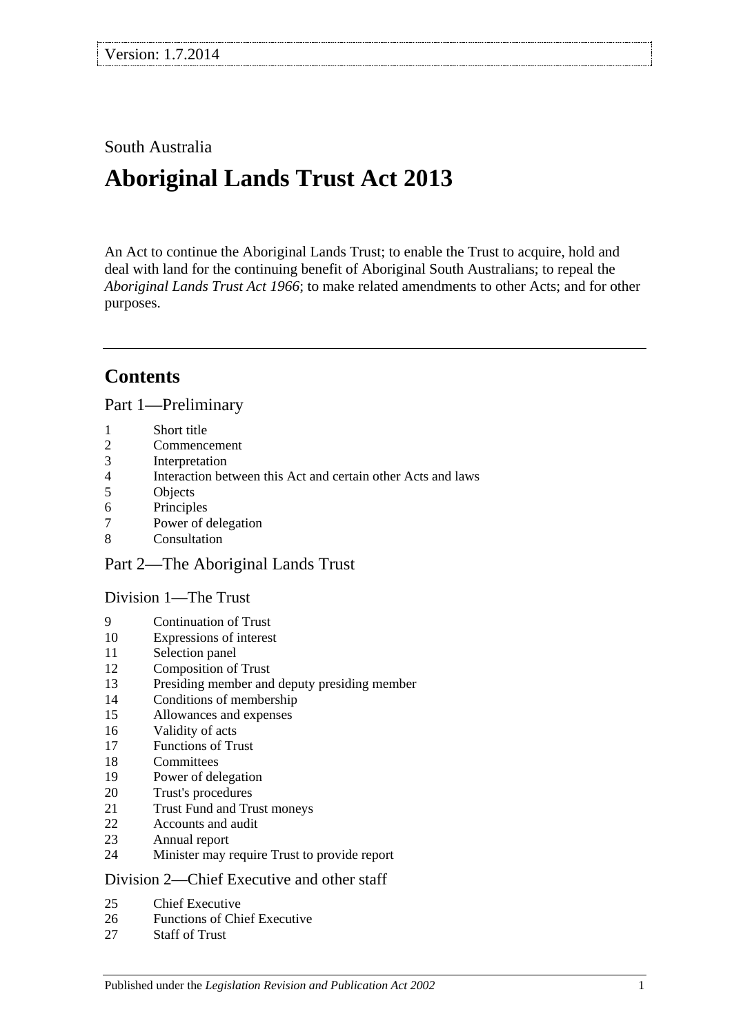# South Australia

# **Aboriginal Lands Trust Act 2013**

An Act to continue the Aboriginal Lands Trust; to enable the Trust to acquire, hold and deal with land for the continuing benefit of Aboriginal South Australians; to repeal the *[Aboriginal Lands Trust Act](http://www.legislation.sa.gov.au/index.aspx?action=legref&type=act&legtitle=Aboriginal%20Lands%20Trust%20Act%201966) 1966*; to make related amendments to other Acts; and for other purposes.

# **Contents**

Part [1—Preliminary](#page-3-0)

- [Short title](#page-3-1)
- [Commencement](#page-3-2)
- [Interpretation](#page-3-3)<br>4 Interaction bet
- [Interaction between this Act and certain other Acts and laws](#page-4-0)
- [Objects](#page-4-1)
- [Principles](#page-5-0)
- [Power of delegation](#page-5-1)
- [Consultation](#page-6-0)

#### Part [2—The Aboriginal Lands Trust](#page-6-1)

#### Division [1—The Trust](#page-6-2)

- [Continuation of Trust](#page-6-3)
- [Expressions of interest](#page-7-0)
- [Selection panel](#page-7-1)
- [Composition of Trust](#page-8-0)
- [Presiding member and deputy presiding member](#page-8-1)
- [Conditions of membership](#page-8-2)
- [Allowances and expenses](#page-9-0)
- [Validity of acts](#page-9-1)
- [Functions of Trust](#page-9-2)
- [Committees](#page-9-3)
- [Power of delegation](#page-10-0)
- [Trust's procedures](#page-10-1)
- [Trust Fund and Trust moneys](#page-11-0)
- [Accounts and audit](#page-12-0)<br>23 Annual report
- [Annual report](#page-12-1)
- [Minister may require Trust to provide report](#page-12-2)

#### Division [2—Chief Executive and other staff](#page-12-3)

- [Chief Executive](#page-12-4)
- [Functions of Chief Executive](#page-13-0)
- [Staff of Trust](#page-13-1)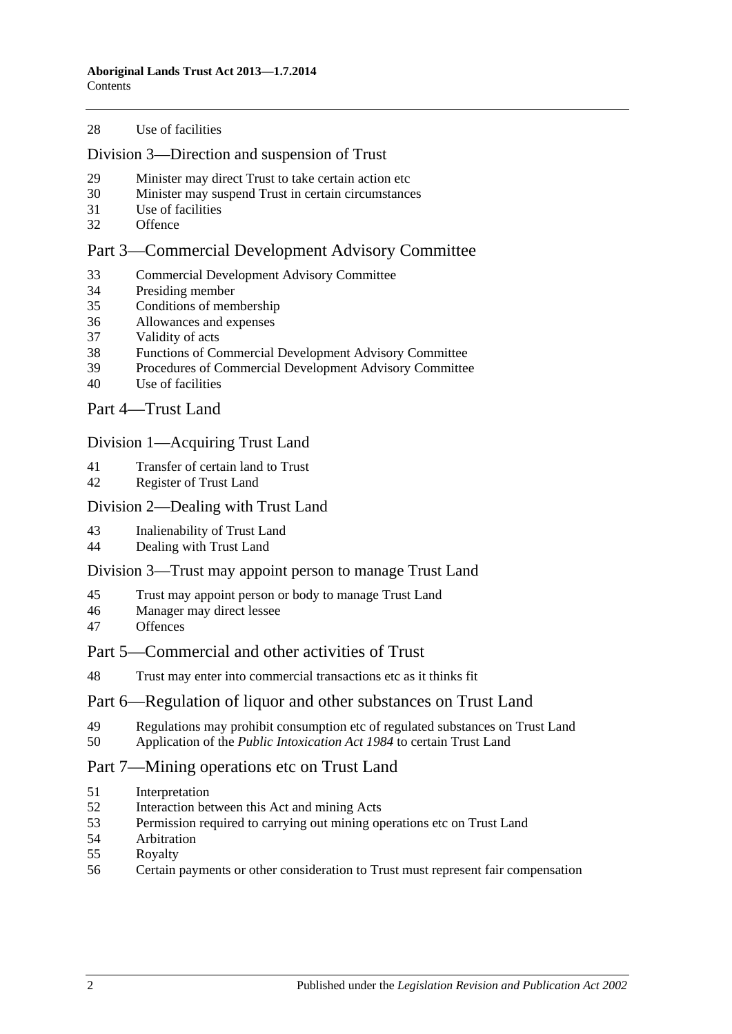#### [Use of facilities](#page-13-2)

#### Division [3—Direction and suspension of Trust](#page-13-3)

- [Minister may direct Trust to take certain action etc](#page-13-4)
- [Minister may suspend Trust in certain circumstances](#page-14-0)
- [Use of facilities](#page-15-0)
- [Offence](#page-15-1)

### Part [3—Commercial Development Advisory Committee](#page-16-0)

- [Commercial Development Advisory Committee](#page-16-1)
- [Presiding member](#page-16-2)
- [Conditions of membership](#page-16-3)
- [Allowances and expenses](#page-17-0)
- [Validity of acts](#page-17-1)
- [Functions of Commercial Development Advisory Committee](#page-17-2)
- [Procedures of Commercial Development Advisory Committee](#page-17-3)
- [Use of facilities](#page-18-0)

Part [4—Trust Land](#page-18-1)

#### Division [1—Acquiring Trust Land](#page-18-2)

- [Transfer of certain land to Trust](#page-18-3)
- [Register of Trust Land](#page-19-0)

#### Division [2—Dealing with Trust Land](#page-19-1)

- [Inalienability of Trust Land](#page-19-2)
- [Dealing with Trust Land](#page-19-3)

#### Division [3—Trust may appoint person to manage Trust Land](#page-20-0)

- [Trust may appoint person or body to manage Trust Land](#page-20-1)
- [Manager may direct lessee](#page-21-0)<br>47 Offences
- **[Offences](#page-21-1)**

## Part [5—Commercial and other activities of Trust](#page-21-2)

[Trust may enter into commercial transactions etc as it thinks fit](#page-21-3)

#### Part [6—Regulation of liquor and other substances on Trust Land](#page-21-4)

- [Regulations may prohibit consumption etc of regulated substances on Trust Land](#page-21-5)
- Application of the *[Public Intoxication Act](#page-22-0) 1984* to certain Trust Land

#### Part [7—Mining operations etc on Trust Land](#page-23-0)

- [Interpretation](#page-23-1)
- [Interaction between this Act and mining Acts](#page-24-0)
- [Permission required to carrying out mining operations etc on Trust Land](#page-25-0)
- [Arbitration](#page-26-0)<br>55 Royalty
- **[Royalty](#page-28-0)**
- [Certain payments or other consideration to Trust must represent fair compensation](#page-28-1)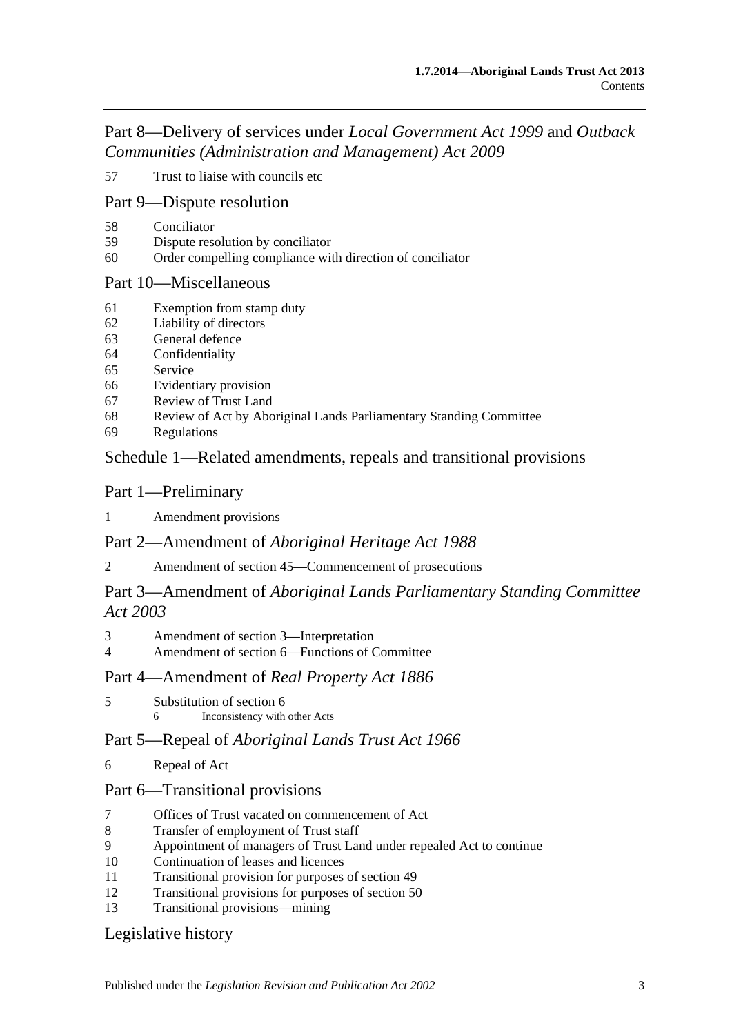Part [8—Delivery of services under](#page-28-2) *Local Government Act 1999* and *Outback [Communities \(Administration and Management\) Act](#page-28-2) 2009*

[Trust to liaise with councils etc](#page-28-3)

## Part [9—Dispute resolution](#page-29-0)

- [Conciliator](#page-29-1)
- [Dispute resolution by conciliator](#page-29-2)
- [Order compelling compliance with direction of conciliator](#page-30-0)

## Part [10—Miscellaneous](#page-30-1)

- [Exemption from stamp duty](#page-30-2)
- [Liability of directors](#page-30-3)
- [General defence](#page-30-4)
- [Confidentiality](#page-31-0)
- [Service](#page-31-1)
- [Evidentiary provision](#page-31-2)
- [Review of Trust Land](#page-32-0)
- [Review of Act by Aboriginal Lands Parliamentary Standing Committee](#page-32-1)
- [Regulations](#page-32-2)

## Schedule [1—Related amendments, repeals and transitional provisions](#page-33-0)

## Part 1—Preliminary

## [Amendment provisions](#page-33-1)

# Part 2—Amendment of *Aboriginal Heritage Act 1988*

[Amendment of section 45—Commencement of prosecutions](#page-33-2)

# Part 3—Amendment of *Aboriginal Lands Parliamentary Standing Committee Act 2003*

- [Amendment of section 3—Interpretation](#page-33-3)
- [Amendment of section 6—Functions of Committee](#page-33-4)

# Part 4—Amendment of *Real Property Act 1886*

 [Substitution of section 6](#page-33-5) Inconsistency with other Acts

# Part 5—Repeal of *Aboriginal Lands Trust Act 1966*

[Repeal of Act](#page-34-0)

# Part 6—Transitional provisions

- [Offices of Trust vacated on commencement of Act](#page-34-1)
- [Transfer of employment of Trust staff](#page-34-2)
- [Appointment of managers of Trust Land under repealed Act to continue](#page-34-3)
- [Continuation of leases and licences](#page-34-4)
- [Transitional provision for purposes of section](#page-35-0) 49
- [Transitional provisions for purposes of section](#page-35-1) 50
- [Transitional provisions—mining](#page-35-2)

# [Legislative history](#page-37-0)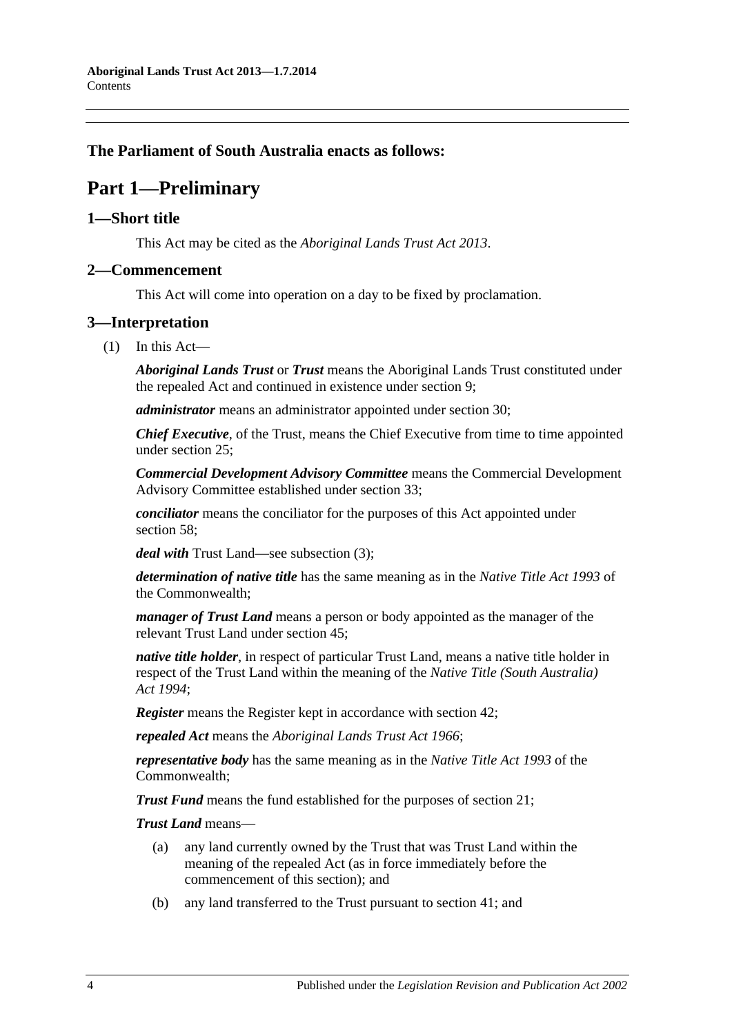## <span id="page-3-0"></span>**The Parliament of South Australia enacts as follows:**

# **Part 1—Preliminary**

## <span id="page-3-1"></span>**1—Short title**

This Act may be cited as the *Aboriginal Lands Trust Act 2013*.

## <span id="page-3-2"></span>**2—Commencement**

This Act will come into operation on a day to be fixed by proclamation.

## <span id="page-3-3"></span>**3—Interpretation**

 $(1)$  In this Act—

*Aboriginal Lands Trust* or *Trust* means the Aboriginal Lands Trust constituted under the repealed Act and continued in existence under [section](#page-6-3) 9;

*administrator* means an administrator appointed under [section](#page-14-0) 30;

*Chief Executive*, of the Trust, means the Chief Executive from time to time appointed under [section](#page-12-4) 25;

*Commercial Development Advisory Committee* means the Commercial Development Advisory Committee established under [section](#page-16-1) 33;

*conciliator* means the conciliator for the purposes of this Act appointed under [section](#page-29-1) 58:

*deal with* Trust Land—see [subsection](#page-4-2) (3);

*determination of native title* has the same meaning as in the *Native Title Act 1993* of the Commonwealth;

*manager of Trust Land* means a person or body appointed as the manager of the relevant Trust Land under [section](#page-20-1) 45;

*native title holder*, in respect of particular Trust Land, means a native title holder in respect of the Trust Land within the meaning of the *Native [Title \(South Australia\)](http://www.legislation.sa.gov.au/index.aspx?action=legref&type=act&legtitle=Native%20Title%20(South%20Australia)%20Act%201994)  Act [1994](http://www.legislation.sa.gov.au/index.aspx?action=legref&type=act&legtitle=Native%20Title%20(South%20Australia)%20Act%201994)*;

*Register* means the Register kept in accordance with [section](#page-19-0) 42;

*repealed Act* means the *[Aboriginal Lands Trust Act](http://www.legislation.sa.gov.au/index.aspx?action=legref&type=act&legtitle=Aboriginal%20Lands%20Trust%20Act%201966) 1966*;

*representative body* has the same meaning as in the *Native Title Act 1993* of the Commonwealth;

*Trust Fund* means the fund established for the purposes of [section](#page-11-0) 21;

*Trust Land* means—

- (a) any land currently owned by the Trust that was Trust Land within the meaning of the repealed Act (as in force immediately before the commencement of this section); and
- (b) any land transferred to the Trust pursuant to [section](#page-18-3) 41; and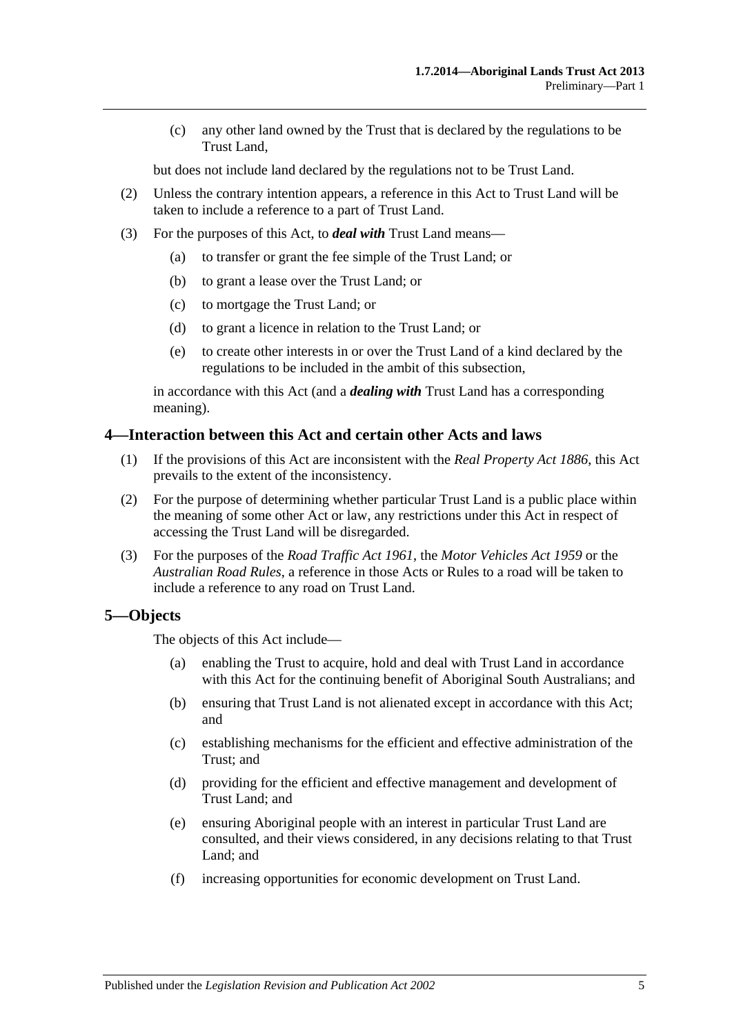(c) any other land owned by the Trust that is declared by the regulations to be Trust Land,

but does not include land declared by the regulations not to be Trust Land.

- (2) Unless the contrary intention appears, a reference in this Act to Trust Land will be taken to include a reference to a part of Trust Land.
- <span id="page-4-2"></span>(3) For the purposes of this Act, to *deal with* Trust Land means—
	- (a) to transfer or grant the fee simple of the Trust Land; or
	- (b) to grant a lease over the Trust Land; or
	- (c) to mortgage the Trust Land; or
	- (d) to grant a licence in relation to the Trust Land; or
	- (e) to create other interests in or over the Trust Land of a kind declared by the regulations to be included in the ambit of this subsection,

in accordance with this Act (and a *dealing with* Trust Land has a corresponding meaning).

### <span id="page-4-0"></span>**4—Interaction between this Act and certain other Acts and laws**

- (1) If the provisions of this Act are inconsistent with the *[Real Property Act](http://www.legislation.sa.gov.au/index.aspx?action=legref&type=act&legtitle=Real%20Property%20Act%201886) 1886*, this Act prevails to the extent of the inconsistency.
- (2) For the purpose of determining whether particular Trust Land is a public place within the meaning of some other Act or law, any restrictions under this Act in respect of accessing the Trust Land will be disregarded.
- (3) For the purposes of the *[Road Traffic Act](http://www.legislation.sa.gov.au/index.aspx?action=legref&type=act&legtitle=Road%20Traffic%20Act%201961) 1961*, the *[Motor Vehicles Act](http://www.legislation.sa.gov.au/index.aspx?action=legref&type=act&legtitle=Motor%20Vehicles%20Act%201959) 1959* or the *[Australian Road Rules](http://www.legislation.sa.gov.au/index.aspx?action=legref&type=subordleg&legtitle=Australian%20Road%20Rules)*, a reference in those Acts or Rules to a road will be taken to include a reference to any road on Trust Land.

## <span id="page-4-1"></span>**5—Objects**

The objects of this Act include—

- (a) enabling the Trust to acquire, hold and deal with Trust Land in accordance with this Act for the continuing benefit of Aboriginal South Australians; and
- (b) ensuring that Trust Land is not alienated except in accordance with this Act; and
- (c) establishing mechanisms for the efficient and effective administration of the Trust; and
- (d) providing for the efficient and effective management and development of Trust Land; and
- (e) ensuring Aboriginal people with an interest in particular Trust Land are consulted, and their views considered, in any decisions relating to that Trust Land; and
- (f) increasing opportunities for economic development on Trust Land.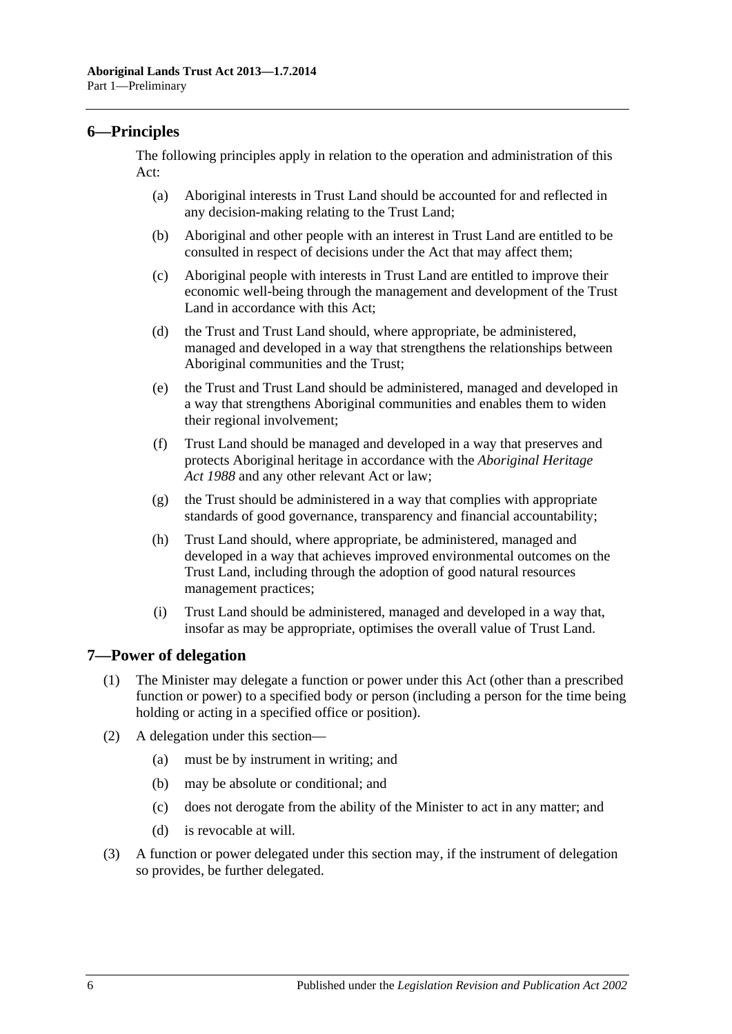## <span id="page-5-0"></span>**6—Principles**

The following principles apply in relation to the operation and administration of this Act:

- (a) Aboriginal interests in Trust Land should be accounted for and reflected in any decision-making relating to the Trust Land;
- (b) Aboriginal and other people with an interest in Trust Land are entitled to be consulted in respect of decisions under the Act that may affect them;
- (c) Aboriginal people with interests in Trust Land are entitled to improve their economic well-being through the management and development of the Trust Land in accordance with this Act;
- (d) the Trust and Trust Land should, where appropriate, be administered, managed and developed in a way that strengthens the relationships between Aboriginal communities and the Trust;
- (e) the Trust and Trust Land should be administered, managed and developed in a way that strengthens Aboriginal communities and enables them to widen their regional involvement;
- (f) Trust Land should be managed and developed in a way that preserves and protects Aboriginal heritage in accordance with the *[Aboriginal Heritage](http://www.legislation.sa.gov.au/index.aspx?action=legref&type=act&legtitle=Aboriginal%20Heritage%20Act%201988)  Act [1988](http://www.legislation.sa.gov.au/index.aspx?action=legref&type=act&legtitle=Aboriginal%20Heritage%20Act%201988)* and any other relevant Act or law;
- (g) the Trust should be administered in a way that complies with appropriate standards of good governance, transparency and financial accountability;
- (h) Trust Land should, where appropriate, be administered, managed and developed in a way that achieves improved environmental outcomes on the Trust Land, including through the adoption of good natural resources management practices;
- (i) Trust Land should be administered, managed and developed in a way that, insofar as may be appropriate, optimises the overall value of Trust Land.

## <span id="page-5-2"></span><span id="page-5-1"></span>**7—Power of delegation**

- (1) The Minister may delegate a function or power under this Act (other than a prescribed function or power) to a specified body or person (including a person for the time being holding or acting in a specified office or position).
- (2) A delegation under this section—
	- (a) must be by instrument in writing; and
	- (b) may be absolute or conditional; and
	- (c) does not derogate from the ability of the Minister to act in any matter; and
	- (d) is revocable at will.
- (3) A function or power delegated under this section may, if the instrument of delegation so provides, be further delegated.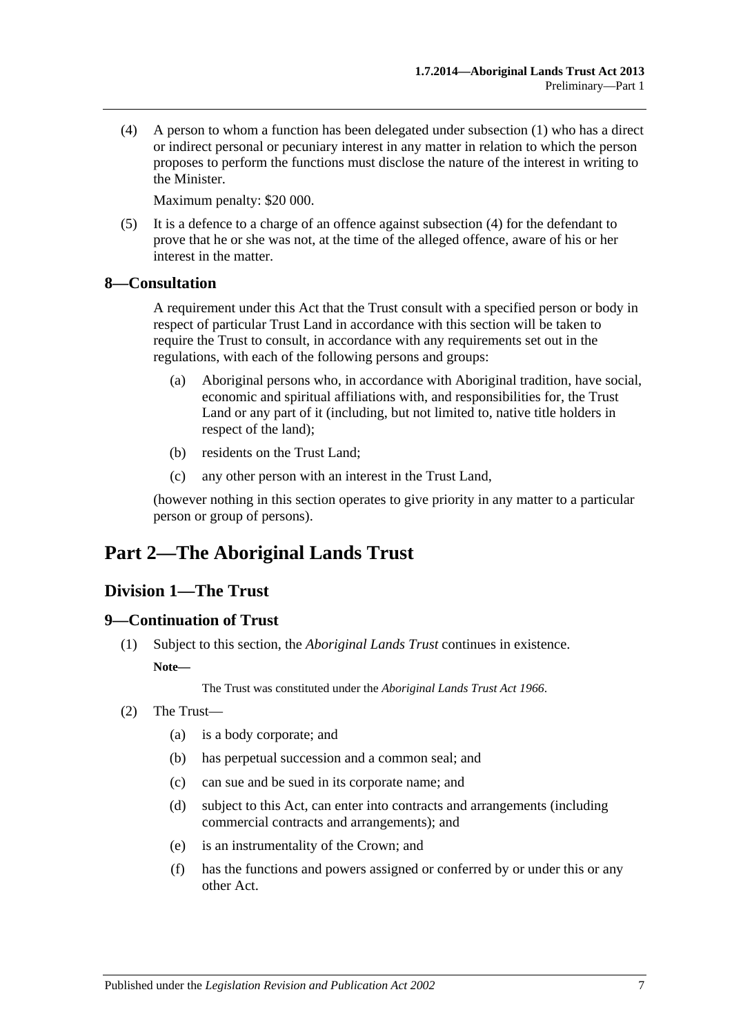<span id="page-6-4"></span>(4) A person to whom a function has been delegated under [subsection](#page-5-2) (1) who has a direct or indirect personal or pecuniary interest in any matter in relation to which the person proposes to perform the functions must disclose the nature of the interest in writing to the Minister.

Maximum penalty: \$20 000.

(5) It is a defence to a charge of an offence against [subsection](#page-6-4) (4) for the defendant to prove that he or she was not, at the time of the alleged offence, aware of his or her interest in the matter.

### <span id="page-6-0"></span>**8—Consultation**

A requirement under this Act that the Trust consult with a specified person or body in respect of particular Trust Land in accordance with this section will be taken to require the Trust to consult, in accordance with any requirements set out in the regulations, with each of the following persons and groups:

- (a) Aboriginal persons who, in accordance with Aboriginal tradition, have social, economic and spiritual affiliations with, and responsibilities for, the Trust Land or any part of it (including, but not limited to, native title holders in respect of the land);
- (b) residents on the Trust Land;
- (c) any other person with an interest in the Trust Land,

(however nothing in this section operates to give priority in any matter to a particular person or group of persons).

# <span id="page-6-1"></span>**Part 2—The Aboriginal Lands Trust**

## <span id="page-6-2"></span>**Division 1—The Trust**

#### <span id="page-6-3"></span>**9—Continuation of Trust**

(1) Subject to this section, the *Aboriginal Lands Trust* continues in existence.

#### **Note—**

The Trust was constituted under the *[Aboriginal Lands Trust Act](http://www.legislation.sa.gov.au/index.aspx?action=legref&type=act&legtitle=Aboriginal%20Lands%20Trust%20Act%201966) 1966*.

- (2) The Trust—
	- (a) is a body corporate; and
	- (b) has perpetual succession and a common seal; and
	- (c) can sue and be sued in its corporate name; and
	- (d) subject to this Act, can enter into contracts and arrangements (including commercial contracts and arrangements); and
	- (e) is an instrumentality of the Crown; and
	- (f) has the functions and powers assigned or conferred by or under this or any other Act.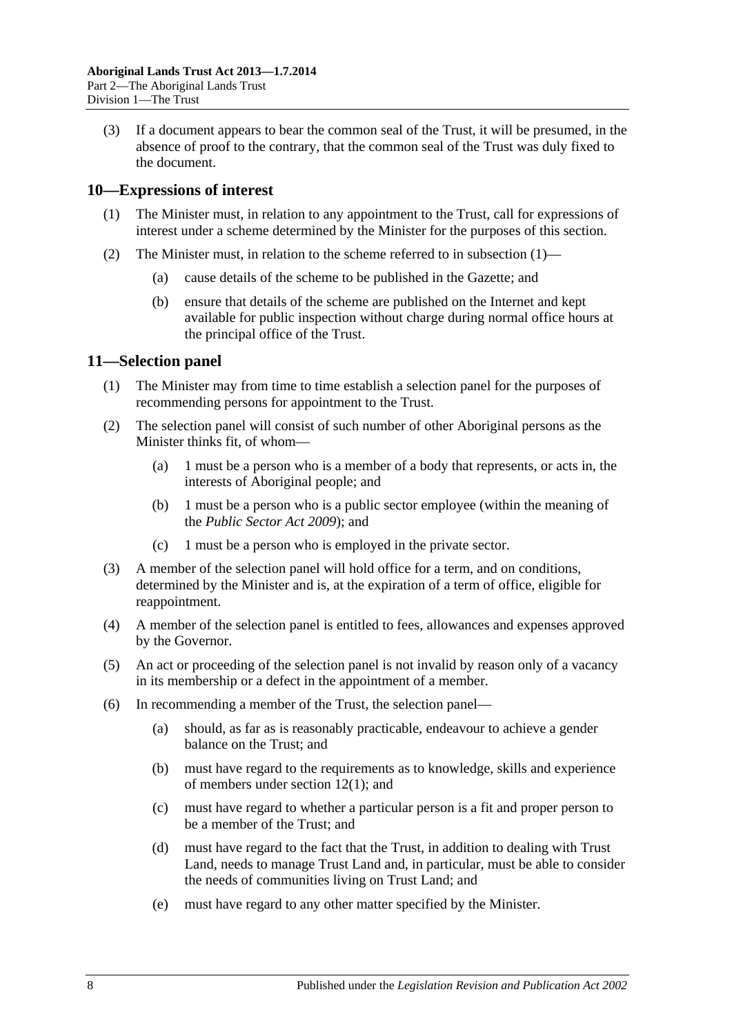(3) If a document appears to bear the common seal of the Trust, it will be presumed, in the absence of proof to the contrary, that the common seal of the Trust was duly fixed to the document.

### <span id="page-7-2"></span><span id="page-7-0"></span>**10—Expressions of interest**

- (1) The Minister must, in relation to any appointment to the Trust, call for expressions of interest under a scheme determined by the Minister for the purposes of this section.
- (2) The Minister must, in relation to the scheme referred to in [subsection](#page-7-2)  $(1)$ 
	- (a) cause details of the scheme to be published in the Gazette; and
	- (b) ensure that details of the scheme are published on the Internet and kept available for public inspection without charge during normal office hours at the principal office of the Trust.

### <span id="page-7-1"></span>**11—Selection panel**

- (1) The Minister may from time to time establish a selection panel for the purposes of recommending persons for appointment to the Trust.
- (2) The selection panel will consist of such number of other Aboriginal persons as the Minister thinks fit, of whom—
	- (a) 1 must be a person who is a member of a body that represents, or acts in, the interests of Aboriginal people; and
	- (b) 1 must be a person who is a public sector employee (within the meaning of the *[Public Sector Act](http://www.legislation.sa.gov.au/index.aspx?action=legref&type=act&legtitle=Public%20Sector%20Act%202009) 2009*); and
	- (c) 1 must be a person who is employed in the private sector.
- (3) A member of the selection panel will hold office for a term, and on conditions, determined by the Minister and is, at the expiration of a term of office, eligible for reappointment.
- (4) A member of the selection panel is entitled to fees, allowances and expenses approved by the Governor.
- (5) An act or proceeding of the selection panel is not invalid by reason only of a vacancy in its membership or a defect in the appointment of a member.
- (6) In recommending a member of the Trust, the selection panel—
	- (a) should, as far as is reasonably practicable, endeavour to achieve a gender balance on the Trust; and
	- (b) must have regard to the requirements as to knowledge, skills and experience of members under [section](#page-8-3) 12(1); and
	- (c) must have regard to whether a particular person is a fit and proper person to be a member of the Trust; and
	- (d) must have regard to the fact that the Trust, in addition to dealing with Trust Land, needs to manage Trust Land and, in particular, must be able to consider the needs of communities living on Trust Land; and
	- (e) must have regard to any other matter specified by the Minister.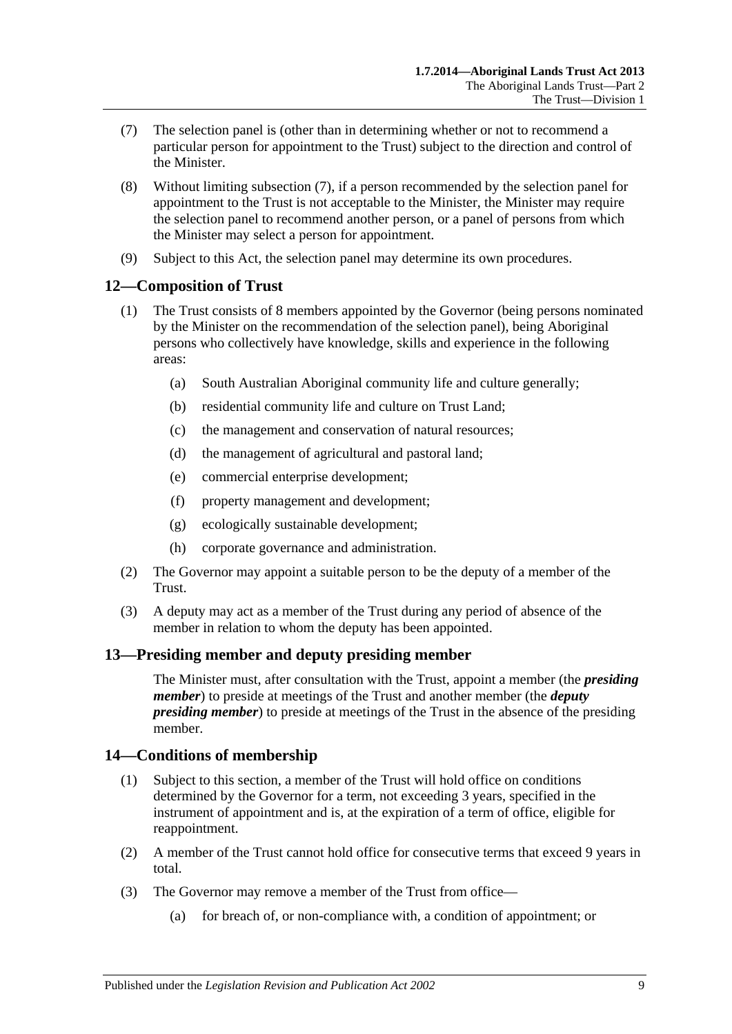- <span id="page-8-4"></span>(7) The selection panel is (other than in determining whether or not to recommend a particular person for appointment to the Trust) subject to the direction and control of the Minister.
- (8) Without limiting [subsection](#page-8-4) (7), if a person recommended by the selection panel for appointment to the Trust is not acceptable to the Minister, the Minister may require the selection panel to recommend another person, or a panel of persons from which the Minister may select a person for appointment.
- (9) Subject to this Act, the selection panel may determine its own procedures.

## <span id="page-8-3"></span><span id="page-8-0"></span>**12—Composition of Trust**

- (1) The Trust consists of 8 members appointed by the Governor (being persons nominated by the Minister on the recommendation of the selection panel), being Aboriginal persons who collectively have knowledge, skills and experience in the following areas:
	- (a) South Australian Aboriginal community life and culture generally;
	- (b) residential community life and culture on Trust Land;
	- (c) the management and conservation of natural resources;
	- (d) the management of agricultural and pastoral land;
	- (e) commercial enterprise development;
	- (f) property management and development;
	- (g) ecologically sustainable development;
	- (h) corporate governance and administration.
- (2) The Governor may appoint a suitable person to be the deputy of a member of the Trust.
- (3) A deputy may act as a member of the Trust during any period of absence of the member in relation to whom the deputy has been appointed.

## <span id="page-8-1"></span>**13—Presiding member and deputy presiding member**

The Minister must, after consultation with the Trust, appoint a member (the *presiding member*) to preside at meetings of the Trust and another member (the *deputy presiding member*) to preside at meetings of the Trust in the absence of the presiding member.

## <span id="page-8-2"></span>**14—Conditions of membership**

- (1) Subject to this section, a member of the Trust will hold office on conditions determined by the Governor for a term, not exceeding 3 years, specified in the instrument of appointment and is, at the expiration of a term of office, eligible for reappointment.
- (2) A member of the Trust cannot hold office for consecutive terms that exceed 9 years in total.
- <span id="page-8-5"></span>(3) The Governor may remove a member of the Trust from office—
	- (a) for breach of, or non-compliance with, a condition of appointment; or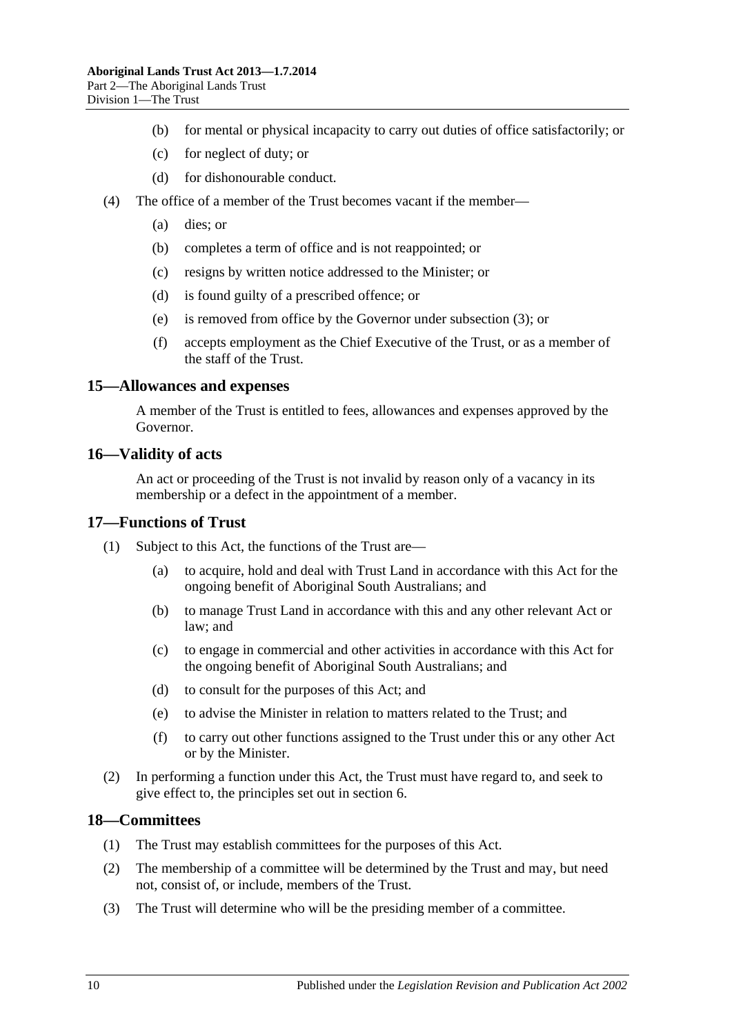- (b) for mental or physical incapacity to carry out duties of office satisfactorily; or
- (c) for neglect of duty; or
- (d) for dishonourable conduct.
- (4) The office of a member of the Trust becomes vacant if the member—
	- (a) dies; or
	- (b) completes a term of office and is not reappointed; or
	- (c) resigns by written notice addressed to the Minister; or
	- (d) is found guilty of a prescribed offence; or
	- (e) is removed from office by the Governor under [subsection](#page-8-5) (3); or
	- (f) accepts employment as the Chief Executive of the Trust, or as a member of the staff of the Trust.

#### <span id="page-9-0"></span>**15—Allowances and expenses**

A member of the Trust is entitled to fees, allowances and expenses approved by the Governor.

#### <span id="page-9-1"></span>**16—Validity of acts**

An act or proceeding of the Trust is not invalid by reason only of a vacancy in its membership or a defect in the appointment of a member.

#### <span id="page-9-2"></span>**17—Functions of Trust**

- (1) Subject to this Act, the functions of the Trust are—
	- (a) to acquire, hold and deal with Trust Land in accordance with this Act for the ongoing benefit of Aboriginal South Australians; and
	- (b) to manage Trust Land in accordance with this and any other relevant Act or law; and
	- (c) to engage in commercial and other activities in accordance with this Act for the ongoing benefit of Aboriginal South Australians; and
	- (d) to consult for the purposes of this Act; and
	- (e) to advise the Minister in relation to matters related to the Trust; and
	- (f) to carry out other functions assigned to the Trust under this or any other Act or by the Minister.
- (2) In performing a function under this Act, the Trust must have regard to, and seek to give effect to, the principles set out in [section](#page-5-0) 6.

#### <span id="page-9-3"></span>**18—Committees**

- (1) The Trust may establish committees for the purposes of this Act.
- (2) The membership of a committee will be determined by the Trust and may, but need not, consist of, or include, members of the Trust.
- (3) The Trust will determine who will be the presiding member of a committee.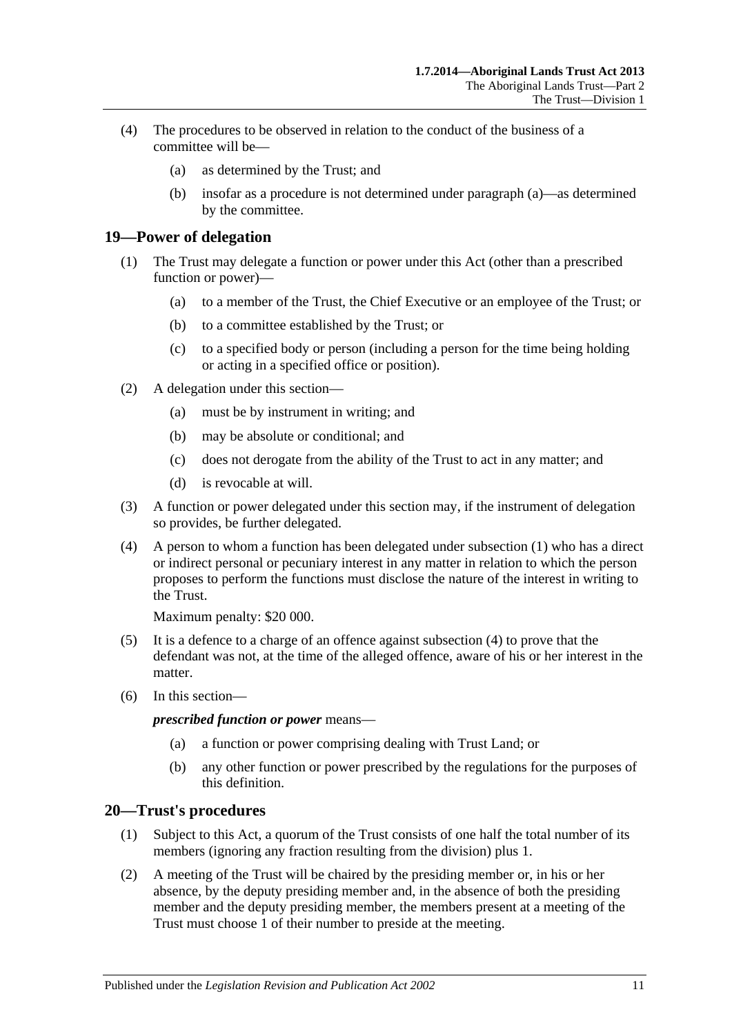- <span id="page-10-2"></span>(4) The procedures to be observed in relation to the conduct of the business of a committee will be—
	- (a) as determined by the Trust; and
	- (b) insofar as a procedure is not determined under [paragraph](#page-10-2) (a)—as determined by the committee.

## <span id="page-10-3"></span><span id="page-10-0"></span>**19—Power of delegation**

- (1) The Trust may delegate a function or power under this Act (other than a prescribed function or power)—
	- (a) to a member of the Trust, the Chief Executive or an employee of the Trust; or
	- (b) to a committee established by the Trust; or
	- (c) to a specified body or person (including a person for the time being holding or acting in a specified office or position).
- (2) A delegation under this section—
	- (a) must be by instrument in writing; and
	- (b) may be absolute or conditional; and
	- (c) does not derogate from the ability of the Trust to act in any matter; and
	- (d) is revocable at will.
- (3) A function or power delegated under this section may, if the instrument of delegation so provides, be further delegated.
- <span id="page-10-4"></span>(4) A person to whom a function has been delegated under [subsection](#page-10-3) (1) who has a direct or indirect personal or pecuniary interest in any matter in relation to which the person proposes to perform the functions must disclose the nature of the interest in writing to the Trust.

Maximum penalty: \$20 000.

- (5) It is a defence to a charge of an offence against [subsection](#page-10-4) (4) to prove that the defendant was not, at the time of the alleged offence, aware of his or her interest in the matter.
- (6) In this section—

*prescribed function or power* means—

- (a) a function or power comprising dealing with Trust Land; or
- (b) any other function or power prescribed by the regulations for the purposes of this definition.

#### <span id="page-10-1"></span>**20—Trust's procedures**

- (1) Subject to this Act, a quorum of the Trust consists of one half the total number of its members (ignoring any fraction resulting from the division) plus 1.
- (2) A meeting of the Trust will be chaired by the presiding member or, in his or her absence, by the deputy presiding member and, in the absence of both the presiding member and the deputy presiding member, the members present at a meeting of the Trust must choose 1 of their number to preside at the meeting.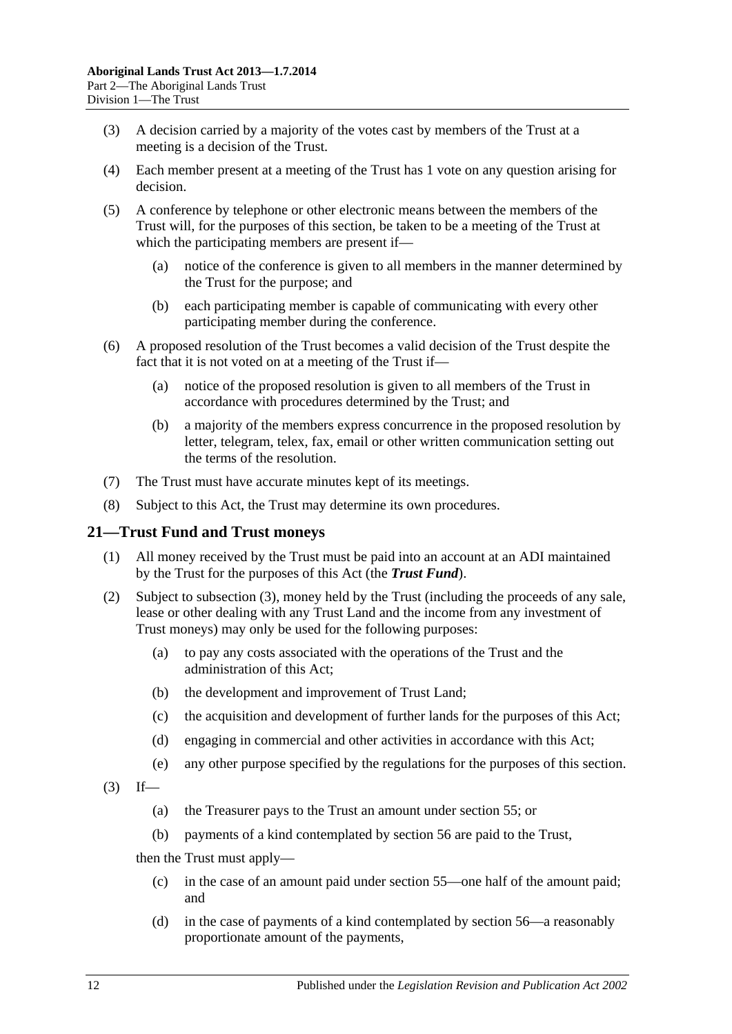- (3) A decision carried by a majority of the votes cast by members of the Trust at a meeting is a decision of the Trust.
- (4) Each member present at a meeting of the Trust has 1 vote on any question arising for decision.
- (5) A conference by telephone or other electronic means between the members of the Trust will, for the purposes of this section, be taken to be a meeting of the Trust at which the participating members are present if—
	- (a) notice of the conference is given to all members in the manner determined by the Trust for the purpose; and
	- (b) each participating member is capable of communicating with every other participating member during the conference.
- (6) A proposed resolution of the Trust becomes a valid decision of the Trust despite the fact that it is not voted on at a meeting of the Trust if—
	- (a) notice of the proposed resolution is given to all members of the Trust in accordance with procedures determined by the Trust; and
	- (b) a majority of the members express concurrence in the proposed resolution by letter, telegram, telex, fax, email or other written communication setting out the terms of the resolution.
- (7) The Trust must have accurate minutes kept of its meetings.
- (8) Subject to this Act, the Trust may determine its own procedures.

## <span id="page-11-0"></span>**21—Trust Fund and Trust moneys**

- (1) All money received by the Trust must be paid into an account at an ADI maintained by the Trust for the purposes of this Act (the *Trust Fund*).
- (2) Subject to [subsection](#page-11-1) (3), money held by the Trust (including the proceeds of any sale, lease or other dealing with any Trust Land and the income from any investment of Trust moneys) may only be used for the following purposes:
	- (a) to pay any costs associated with the operations of the Trust and the administration of this Act;
	- (b) the development and improvement of Trust Land;
	- (c) the acquisition and development of further lands for the purposes of this Act;
	- (d) engaging in commercial and other activities in accordance with this Act;
	- (e) any other purpose specified by the regulations for the purposes of this section.
- <span id="page-11-1"></span> $(3)$  If—
	- (a) the Treasurer pays to the Trust an amount under [section](#page-28-0) 55; or
	- (b) payments of a kind contemplated by [section](#page-28-1) 56 are paid to the Trust,

then the Trust must apply—

- (c) in the case of an amount paid under [section](#page-28-0) 55—one half of the amount paid; and
- (d) in the case of payments of a kind contemplated by [section](#page-28-1) 56—a reasonably proportionate amount of the payments,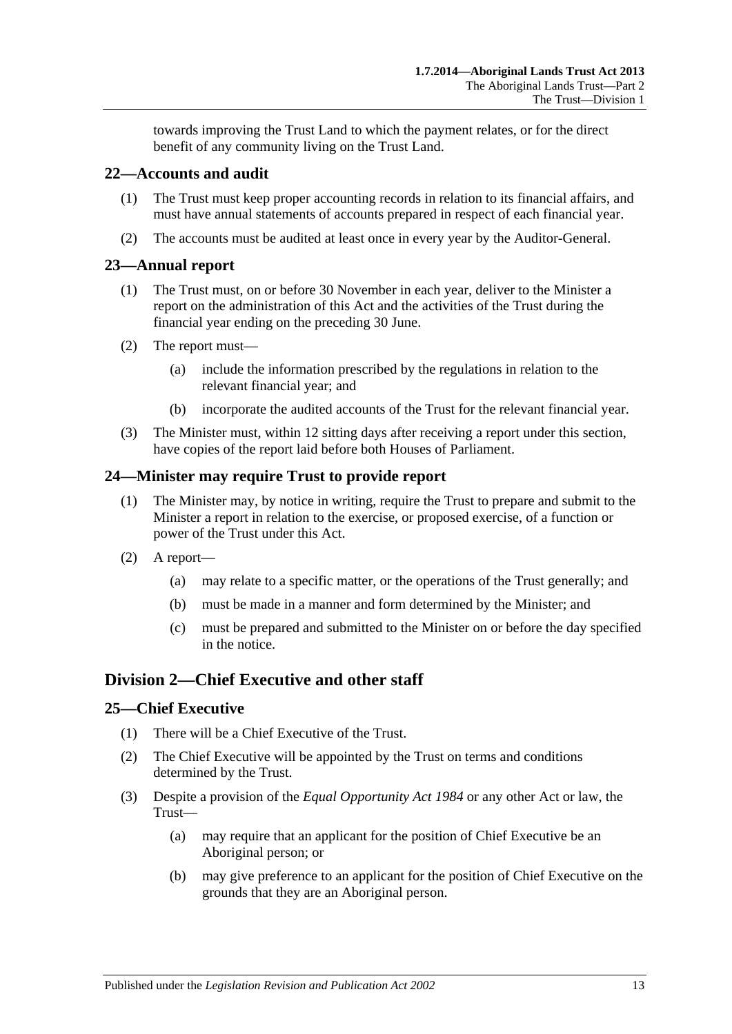towards improving the Trust Land to which the payment relates, or for the direct benefit of any community living on the Trust Land.

## <span id="page-12-0"></span>**22—Accounts and audit**

- (1) The Trust must keep proper accounting records in relation to its financial affairs, and must have annual statements of accounts prepared in respect of each financial year.
- (2) The accounts must be audited at least once in every year by the Auditor-General.

## <span id="page-12-1"></span>**23—Annual report**

- (1) The Trust must, on or before 30 November in each year, deliver to the Minister a report on the administration of this Act and the activities of the Trust during the financial year ending on the preceding 30 June.
- (2) The report must—
	- (a) include the information prescribed by the regulations in relation to the relevant financial year; and
	- (b) incorporate the audited accounts of the Trust for the relevant financial year.
- (3) The Minister must, within 12 sitting days after receiving a report under this section, have copies of the report laid before both Houses of Parliament.

# <span id="page-12-2"></span>**24—Minister may require Trust to provide report**

- (1) The Minister may, by notice in writing, require the Trust to prepare and submit to the Minister a report in relation to the exercise, or proposed exercise, of a function or power of the Trust under this Act.
- (2) A report—
	- (a) may relate to a specific matter, or the operations of the Trust generally; and
	- (b) must be made in a manner and form determined by the Minister; and
	- (c) must be prepared and submitted to the Minister on or before the day specified in the notice.

# <span id="page-12-3"></span>**Division 2—Chief Executive and other staff**

## <span id="page-12-4"></span>**25—Chief Executive**

- (1) There will be a Chief Executive of the Trust.
- (2) The Chief Executive will be appointed by the Trust on terms and conditions determined by the Trust.
- (3) Despite a provision of the *[Equal Opportunity Act](http://www.legislation.sa.gov.au/index.aspx?action=legref&type=act&legtitle=Equal%20Opportunity%20Act%201984) 1984* or any other Act or law, the Trust—
	- (a) may require that an applicant for the position of Chief Executive be an Aboriginal person; or
	- (b) may give preference to an applicant for the position of Chief Executive on the grounds that they are an Aboriginal person.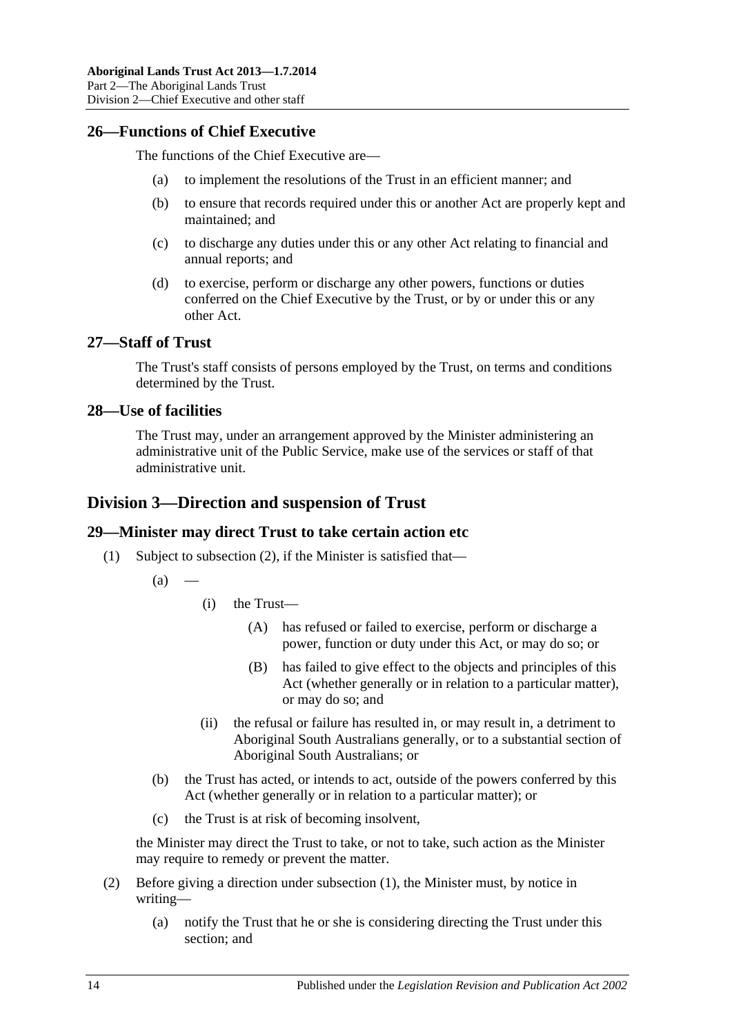## <span id="page-13-0"></span>**26—Functions of Chief Executive**

The functions of the Chief Executive are—

- (a) to implement the resolutions of the Trust in an efficient manner; and
- (b) to ensure that records required under this or another Act are properly kept and maintained; and
- (c) to discharge any duties under this or any other Act relating to financial and annual reports; and
- (d) to exercise, perform or discharge any other powers, functions or duties conferred on the Chief Executive by the Trust, or by or under this or any other Act.

#### <span id="page-13-1"></span>**27—Staff of Trust**

The Trust's staff consists of persons employed by the Trust, on terms and conditions determined by the Trust.

#### <span id="page-13-2"></span>**28—Use of facilities**

The Trust may, under an arrangement approved by the Minister administering an administrative unit of the Public Service, make use of the services or staff of that administrative unit.

# <span id="page-13-3"></span>**Division 3—Direction and suspension of Trust**

## <span id="page-13-6"></span><span id="page-13-4"></span>**29—Minister may direct Trust to take certain action etc**

- (1) Subject to [subsection](#page-13-5) (2), if the Minister is satisfied that—
	- $(a)$
- (i) the Trust—
	- (A) has refused or failed to exercise, perform or discharge a power, function or duty under this Act, or may do so; or
	- (B) has failed to give effect to the objects and principles of this Act (whether generally or in relation to a particular matter), or may do so; and
- (ii) the refusal or failure has resulted in, or may result in, a detriment to Aboriginal South Australians generally, or to a substantial section of Aboriginal South Australians; or
- (b) the Trust has acted, or intends to act, outside of the powers conferred by this Act (whether generally or in relation to a particular matter); or
- (c) the Trust is at risk of becoming insolvent,

the Minister may direct the Trust to take, or not to take, such action as the Minister may require to remedy or prevent the matter.

- <span id="page-13-5"></span>(2) Before giving a direction under [subsection](#page-13-6) (1), the Minister must, by notice in writing—
	- (a) notify the Trust that he or she is considering directing the Trust under this section; and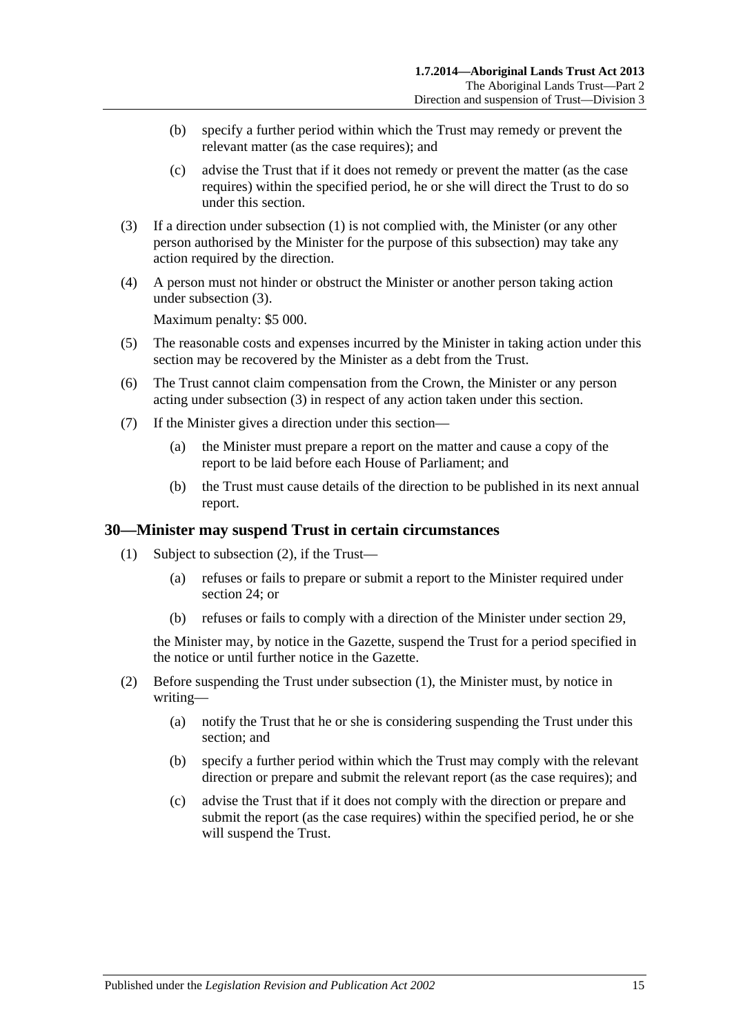- (b) specify a further period within which the Trust may remedy or prevent the relevant matter (as the case requires); and
- (c) advise the Trust that if it does not remedy or prevent the matter (as the case requires) within the specified period, he or she will direct the Trust to do so under this section.
- <span id="page-14-1"></span>(3) If a direction under [subsection](#page-13-6) (1) is not complied with, the Minister (or any other person authorised by the Minister for the purpose of this subsection) may take any action required by the direction.
- (4) A person must not hinder or obstruct the Minister or another person taking action under [subsection](#page-14-1) (3).

Maximum penalty: \$5 000.

- (5) The reasonable costs and expenses incurred by the Minister in taking action under this section may be recovered by the Minister as a debt from the Trust.
- (6) The Trust cannot claim compensation from the Crown, the Minister or any person acting under [subsection](#page-14-1) (3) in respect of any action taken under this section.
- (7) If the Minister gives a direction under this section—
	- (a) the Minister must prepare a report on the matter and cause a copy of the report to be laid before each House of Parliament; and
	- (b) the Trust must cause details of the direction to be published in its next annual report.

#### <span id="page-14-3"></span><span id="page-14-0"></span>**30—Minister may suspend Trust in certain circumstances**

- (1) Subject to [subsection](#page-14-2) (2), if the Trust—
	- (a) refuses or fails to prepare or submit a report to the Minister required under [section](#page-12-2) 24; or
	- (b) refuses or fails to comply with a direction of the Minister under [section](#page-13-4) 29,

the Minister may, by notice in the Gazette, suspend the Trust for a period specified in the notice or until further notice in the Gazette.

- <span id="page-14-2"></span>(2) Before suspending the Trust under [subsection](#page-14-3) (1), the Minister must, by notice in writing—
	- (a) notify the Trust that he or she is considering suspending the Trust under this section; and
	- (b) specify a further period within which the Trust may comply with the relevant direction or prepare and submit the relevant report (as the case requires); and
	- (c) advise the Trust that if it does not comply with the direction or prepare and submit the report (as the case requires) within the specified period, he or she will suspend the Trust.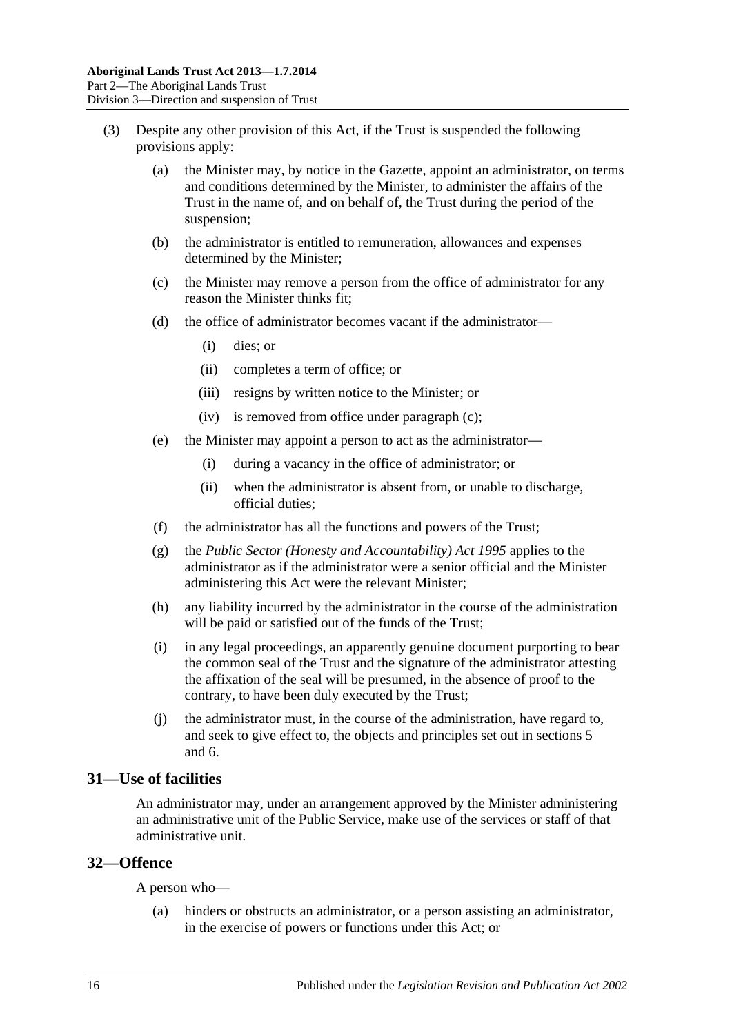- <span id="page-15-2"></span>(3) Despite any other provision of this Act, if the Trust is suspended the following provisions apply:
	- (a) the Minister may, by notice in the Gazette, appoint an administrator, on terms and conditions determined by the Minister, to administer the affairs of the Trust in the name of, and on behalf of, the Trust during the period of the suspension;
	- (b) the administrator is entitled to remuneration, allowances and expenses determined by the Minister;
	- (c) the Minister may remove a person from the office of administrator for any reason the Minister thinks fit;
	- (d) the office of administrator becomes vacant if the administrator—
		- (i) dies; or
		- (ii) completes a term of office; or
		- (iii) resigns by written notice to the Minister; or
		- (iv) is removed from office under [paragraph](#page-15-2) (c);
	- (e) the Minister may appoint a person to act as the administrator—
		- (i) during a vacancy in the office of administrator; or
		- (ii) when the administrator is absent from, or unable to discharge, official duties;
	- (f) the administrator has all the functions and powers of the Trust;
	- (g) the *[Public Sector \(Honesty and Accountability\) Act](http://www.legislation.sa.gov.au/index.aspx?action=legref&type=act&legtitle=Public%20Sector%20(Honesty%20and%20Accountability)%20Act%201995) 1995* applies to the administrator as if the administrator were a senior official and the Minister administering this Act were the relevant Minister;
	- (h) any liability incurred by the administrator in the course of the administration will be paid or satisfied out of the funds of the Trust;
	- (i) in any legal proceedings, an apparently genuine document purporting to bear the common seal of the Trust and the signature of the administrator attesting the affixation of the seal will be presumed, in the absence of proof to the contrary, to have been duly executed by the Trust;
	- (j) the administrator must, in the course of the administration, have regard to, and seek to give effect to, the objects and principles set out in [sections](#page-4-1) 5 and [6.](#page-5-0)

#### <span id="page-15-0"></span>**31—Use of facilities**

An administrator may, under an arrangement approved by the Minister administering an administrative unit of the Public Service, make use of the services or staff of that administrative unit.

#### <span id="page-15-1"></span>**32—Offence**

A person who—

(a) hinders or obstructs an administrator, or a person assisting an administrator, in the exercise of powers or functions under this Act; or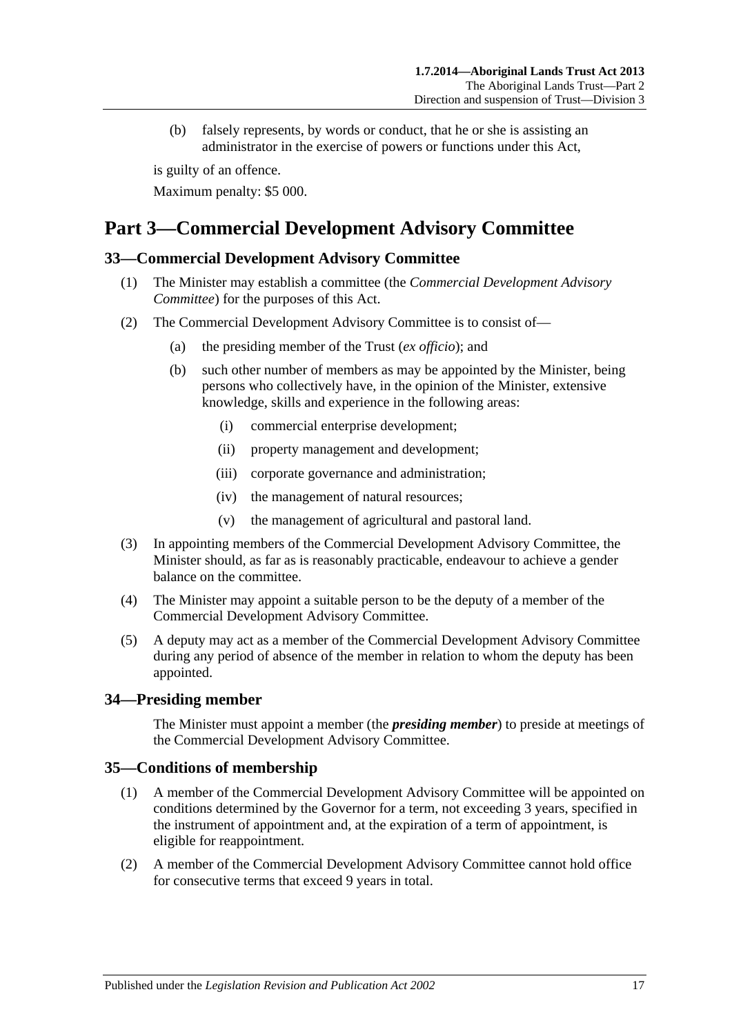(b) falsely represents, by words or conduct, that he or she is assisting an administrator in the exercise of powers or functions under this Act,

is guilty of an offence.

Maximum penalty: \$5 000.

# <span id="page-16-0"></span>**Part 3—Commercial Development Advisory Committee**

## <span id="page-16-1"></span>**33—Commercial Development Advisory Committee**

- (1) The Minister may establish a committee (the *Commercial Development Advisory Committee*) for the purposes of this Act.
- (2) The Commercial Development Advisory Committee is to consist of—
	- (a) the presiding member of the Trust (*ex officio*); and
	- (b) such other number of members as may be appointed by the Minister, being persons who collectively have, in the opinion of the Minister, extensive knowledge, skills and experience in the following areas:
		- (i) commercial enterprise development;
		- (ii) property management and development;
		- (iii) corporate governance and administration;
		- (iv) the management of natural resources;
		- (v) the management of agricultural and pastoral land.
- (3) In appointing members of the Commercial Development Advisory Committee, the Minister should, as far as is reasonably practicable, endeavour to achieve a gender balance on the committee.
- (4) The Minister may appoint a suitable person to be the deputy of a member of the Commercial Development Advisory Committee.
- (5) A deputy may act as a member of the Commercial Development Advisory Committee during any period of absence of the member in relation to whom the deputy has been appointed.

## <span id="page-16-2"></span>**34—Presiding member**

The Minister must appoint a member (the *presiding member*) to preside at meetings of the Commercial Development Advisory Committee.

## <span id="page-16-3"></span>**35—Conditions of membership**

- (1) A member of the Commercial Development Advisory Committee will be appointed on conditions determined by the Governor for a term, not exceeding 3 years, specified in the instrument of appointment and, at the expiration of a term of appointment, is eligible for reappointment.
- (2) A member of the Commercial Development Advisory Committee cannot hold office for consecutive terms that exceed 9 years in total.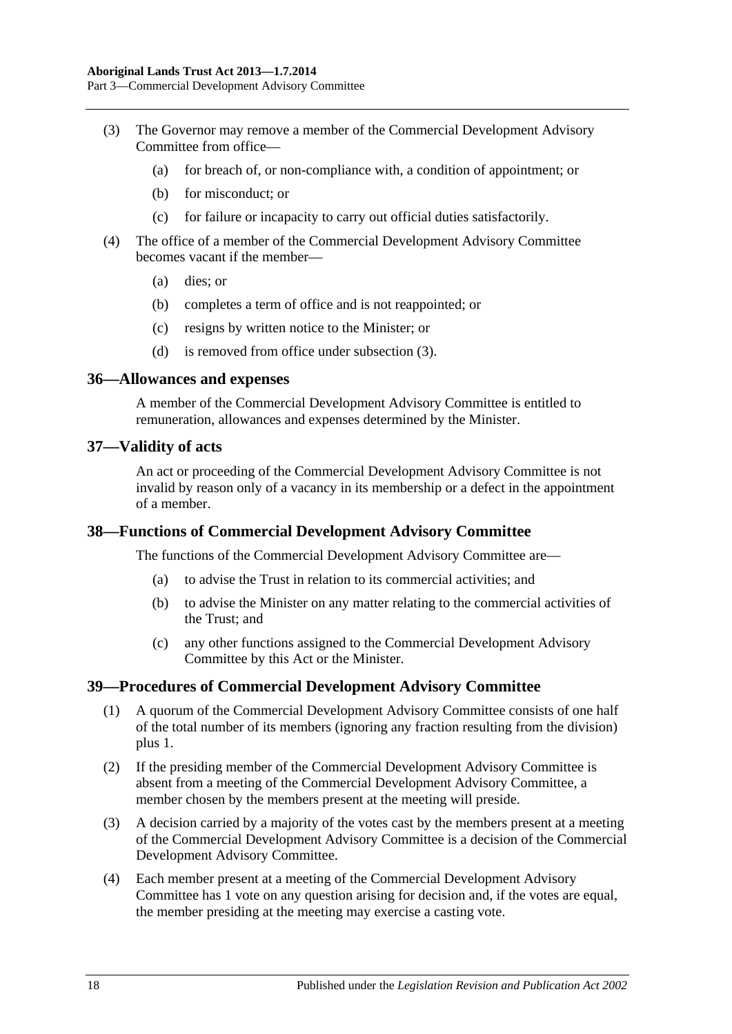Part 3—Commercial Development Advisory Committee

- <span id="page-17-4"></span>(3) The Governor may remove a member of the Commercial Development Advisory Committee from office—
	- (a) for breach of, or non-compliance with, a condition of appointment; or
	- (b) for misconduct; or
	- (c) for failure or incapacity to carry out official duties satisfactorily.
- (4) The office of a member of the Commercial Development Advisory Committee becomes vacant if the member—
	- (a) dies; or
	- (b) completes a term of office and is not reappointed; or
	- (c) resigns by written notice to the Minister; or
	- (d) is removed from office under [subsection](#page-17-4) (3).

#### <span id="page-17-0"></span>**36—Allowances and expenses**

A member of the Commercial Development Advisory Committee is entitled to remuneration, allowances and expenses determined by the Minister.

#### <span id="page-17-1"></span>**37—Validity of acts**

An act or proceeding of the Commercial Development Advisory Committee is not invalid by reason only of a vacancy in its membership or a defect in the appointment of a member.

#### <span id="page-17-2"></span>**38—Functions of Commercial Development Advisory Committee**

The functions of the Commercial Development Advisory Committee are—

- (a) to advise the Trust in relation to its commercial activities; and
- (b) to advise the Minister on any matter relating to the commercial activities of the Trust; and
- (c) any other functions assigned to the Commercial Development Advisory Committee by this Act or the Minister.

#### <span id="page-17-3"></span>**39—Procedures of Commercial Development Advisory Committee**

- (1) A quorum of the Commercial Development Advisory Committee consists of one half of the total number of its members (ignoring any fraction resulting from the division) plus 1.
- (2) If the presiding member of the Commercial Development Advisory Committee is absent from a meeting of the Commercial Development Advisory Committee, a member chosen by the members present at the meeting will preside.
- (3) A decision carried by a majority of the votes cast by the members present at a meeting of the Commercial Development Advisory Committee is a decision of the Commercial Development Advisory Committee.
- (4) Each member present at a meeting of the Commercial Development Advisory Committee has 1 vote on any question arising for decision and, if the votes are equal, the member presiding at the meeting may exercise a casting vote.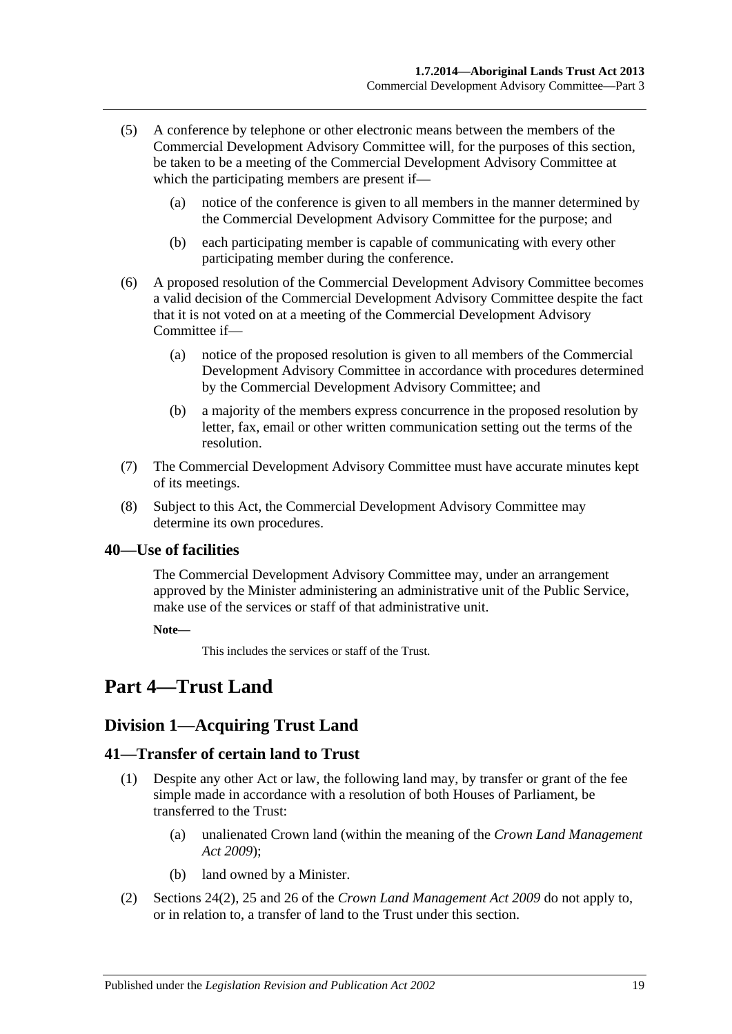- (5) A conference by telephone or other electronic means between the members of the Commercial Development Advisory Committee will, for the purposes of this section, be taken to be a meeting of the Commercial Development Advisory Committee at which the participating members are present if—
	- (a) notice of the conference is given to all members in the manner determined by the Commercial Development Advisory Committee for the purpose; and
	- (b) each participating member is capable of communicating with every other participating member during the conference.
- (6) A proposed resolution of the Commercial Development Advisory Committee becomes a valid decision of the Commercial Development Advisory Committee despite the fact that it is not voted on at a meeting of the Commercial Development Advisory Committee if—
	- (a) notice of the proposed resolution is given to all members of the Commercial Development Advisory Committee in accordance with procedures determined by the Commercial Development Advisory Committee; and
	- (b) a majority of the members express concurrence in the proposed resolution by letter, fax, email or other written communication setting out the terms of the resolution.
- (7) The Commercial Development Advisory Committee must have accurate minutes kept of its meetings.
- (8) Subject to this Act, the Commercial Development Advisory Committee may determine its own procedures.

## <span id="page-18-0"></span>**40—Use of facilities**

The Commercial Development Advisory Committee may, under an arrangement approved by the Minister administering an administrative unit of the Public Service, make use of the services or staff of that administrative unit.

**Note—**

This includes the services or staff of the Trust.

# <span id="page-18-2"></span><span id="page-18-1"></span>**Part 4—Trust Land**

# **Division 1—Acquiring Trust Land**

## <span id="page-18-3"></span>**41—Transfer of certain land to Trust**

- (1) Despite any other Act or law, the following land may, by transfer or grant of the fee simple made in accordance with a resolution of both Houses of Parliament, be transferred to the Trust:
	- (a) unalienated Crown land (within the meaning of the *[Crown Land Management](http://www.legislation.sa.gov.au/index.aspx?action=legref&type=act&legtitle=Crown%20Land%20Management%20Act%202009)  Act [2009](http://www.legislation.sa.gov.au/index.aspx?action=legref&type=act&legtitle=Crown%20Land%20Management%20Act%202009)*);
	- (b) land owned by a Minister.
- (2) Sections 24(2), 25 and 26 of the *[Crown Land Management Act](http://www.legislation.sa.gov.au/index.aspx?action=legref&type=act&legtitle=Crown%20Land%20Management%20Act%202009) 2009* do not apply to, or in relation to, a transfer of land to the Trust under this section.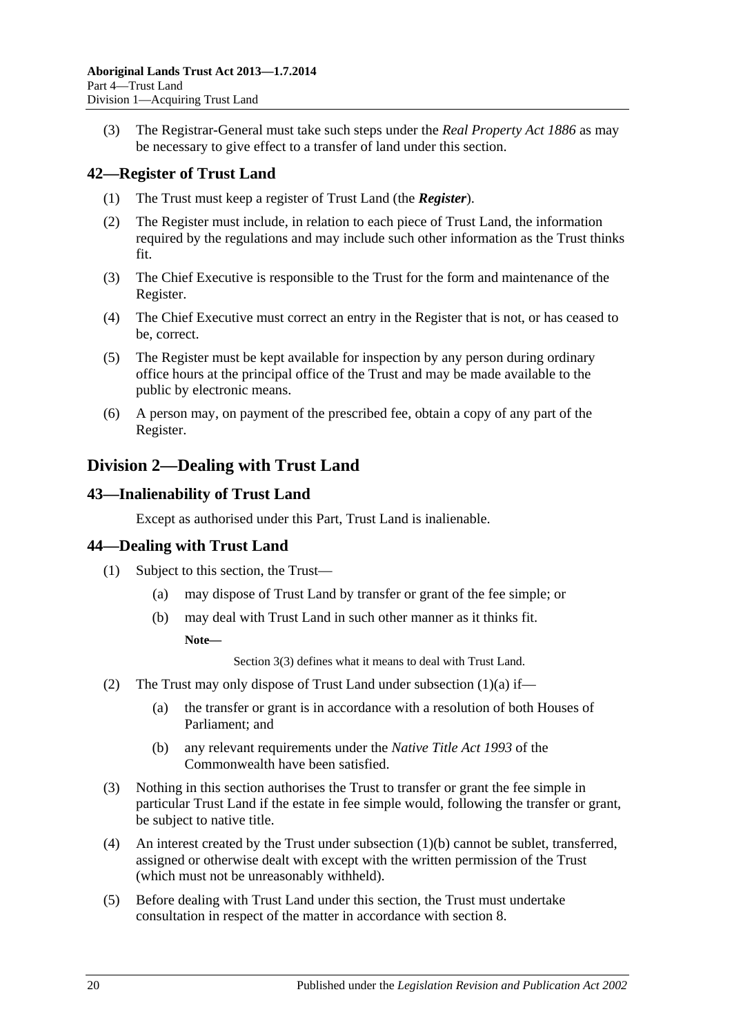(3) The Registrar-General must take such steps under the *[Real Property Act](http://www.legislation.sa.gov.au/index.aspx?action=legref&type=act&legtitle=Real%20Property%20Act%201886) 1886* as may be necessary to give effect to a transfer of land under this section.

# <span id="page-19-0"></span>**42—Register of Trust Land**

- (1) The Trust must keep a register of Trust Land (the *Register*).
- (2) The Register must include, in relation to each piece of Trust Land, the information required by the regulations and may include such other information as the Trust thinks fit.
- (3) The Chief Executive is responsible to the Trust for the form and maintenance of the Register.
- (4) The Chief Executive must correct an entry in the Register that is not, or has ceased to be, correct.
- (5) The Register must be kept available for inspection by any person during ordinary office hours at the principal office of the Trust and may be made available to the public by electronic means.
- (6) A person may, on payment of the prescribed fee, obtain a copy of any part of the Register.

# <span id="page-19-1"></span>**Division 2—Dealing with Trust Land**

## <span id="page-19-2"></span>**43—Inalienability of Trust Land**

Except as authorised under this Part, Trust Land is inalienable.

# <span id="page-19-3"></span>**44—Dealing with Trust Land**

- <span id="page-19-5"></span><span id="page-19-4"></span>(1) Subject to this section, the Trust—
	- (a) may dispose of Trust Land by transfer or grant of the fee simple; or
	- (b) may deal with Trust Land in such other manner as it thinks fit.

**Note—**

[Section](#page-4-2) 3(3) defines what it means to deal with Trust Land.

- (2) The Trust may only dispose of Trust Land under [subsection](#page-19-4)  $(1)(a)$  if—
	- (a) the transfer or grant is in accordance with a resolution of both Houses of Parliament; and
	- (b) any relevant requirements under the *Native Title Act 1993* of the Commonwealth have been satisfied.
- (3) Nothing in this section authorises the Trust to transfer or grant the fee simple in particular Trust Land if the estate in fee simple would, following the transfer or grant, be subject to native title.
- (4) An interest created by the Trust under [subsection](#page-19-5) (1)(b) cannot be sublet, transferred, assigned or otherwise dealt with except with the written permission of the Trust (which must not be unreasonably withheld).
- (5) Before dealing with Trust Land under this section, the Trust must undertake consultation in respect of the matter in accordance with [section](#page-6-0) 8.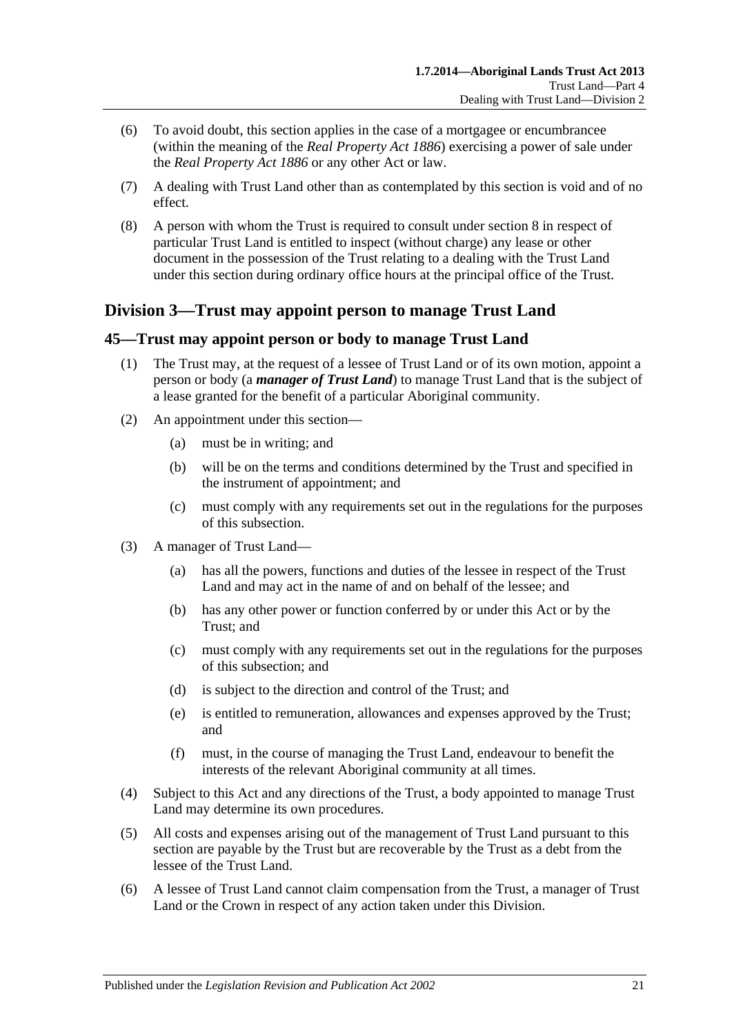- (6) To avoid doubt, this section applies in the case of a mortgagee or encumbrancee (within the meaning of the *[Real Property Act](http://www.legislation.sa.gov.au/index.aspx?action=legref&type=act&legtitle=Real%20Property%20Act%201886) 1886*) exercising a power of sale under the *[Real Property Act](http://www.legislation.sa.gov.au/index.aspx?action=legref&type=act&legtitle=Real%20Property%20Act%201886) 1886* or any other Act or law.
- (7) A dealing with Trust Land other than as contemplated by this section is void and of no effect.
- (8) A person with whom the Trust is required to consult under [section](#page-6-0) 8 in respect of particular Trust Land is entitled to inspect (without charge) any lease or other document in the possession of the Trust relating to a dealing with the Trust Land under this section during ordinary office hours at the principal office of the Trust.

# <span id="page-20-0"></span>**Division 3—Trust may appoint person to manage Trust Land**

## <span id="page-20-1"></span>**45—Trust may appoint person or body to manage Trust Land**

- (1) The Trust may, at the request of a lessee of Trust Land or of its own motion, appoint a person or body (a *manager of Trust Land*) to manage Trust Land that is the subject of a lease granted for the benefit of a particular Aboriginal community.
- (2) An appointment under this section—
	- (a) must be in writing; and
	- (b) will be on the terms and conditions determined by the Trust and specified in the instrument of appointment; and
	- (c) must comply with any requirements set out in the regulations for the purposes of this subsection.
- (3) A manager of Trust Land—
	- (a) has all the powers, functions and duties of the lessee in respect of the Trust Land and may act in the name of and on behalf of the lessee; and
	- (b) has any other power or function conferred by or under this Act or by the Trust; and
	- (c) must comply with any requirements set out in the regulations for the purposes of this subsection; and
	- (d) is subject to the direction and control of the Trust; and
	- (e) is entitled to remuneration, allowances and expenses approved by the Trust; and
	- (f) must, in the course of managing the Trust Land, endeavour to benefit the interests of the relevant Aboriginal community at all times.
- (4) Subject to this Act and any directions of the Trust, a body appointed to manage Trust Land may determine its own procedures.
- (5) All costs and expenses arising out of the management of Trust Land pursuant to this section are payable by the Trust but are recoverable by the Trust as a debt from the lessee of the Trust Land.
- (6) A lessee of Trust Land cannot claim compensation from the Trust, a manager of Trust Land or the Crown in respect of any action taken under this Division.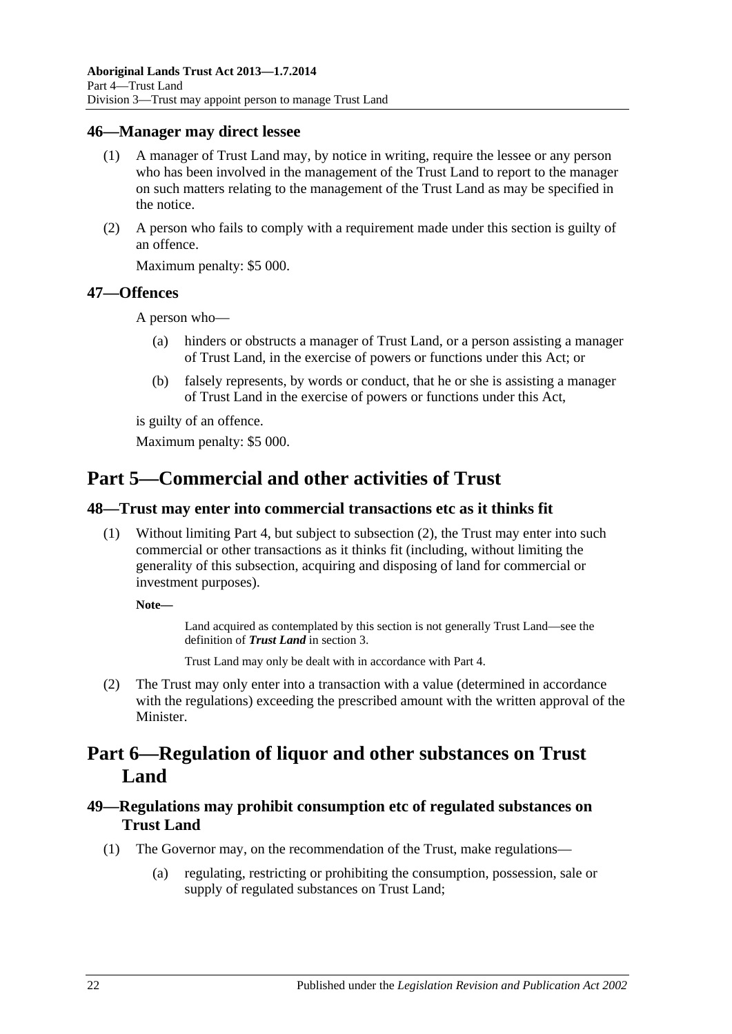### <span id="page-21-0"></span>**46—Manager may direct lessee**

- (1) A manager of Trust Land may, by notice in writing, require the lessee or any person who has been involved in the management of the Trust Land to report to the manager on such matters relating to the management of the Trust Land as may be specified in the notice.
- (2) A person who fails to comply with a requirement made under this section is guilty of an offence.

Maximum penalty: \$5 000.

### <span id="page-21-1"></span>**47—Offences**

A person who—

- (a) hinders or obstructs a manager of Trust Land, or a person assisting a manager of Trust Land, in the exercise of powers or functions under this Act; or
- (b) falsely represents, by words or conduct, that he or she is assisting a manager of Trust Land in the exercise of powers or functions under this Act,

is guilty of an offence.

Maximum penalty: \$5 000.

# <span id="page-21-2"></span>**Part 5—Commercial and other activities of Trust**

### <span id="page-21-3"></span>**48—Trust may enter into commercial transactions etc as it thinks fit**

(1) Without limiting [Part](#page-18-1) 4, but subject to [subsection](#page-21-6) (2), the Trust may enter into such commercial or other transactions as it thinks fit (including, without limiting the generality of this subsection, acquiring and disposing of land for commercial or investment purposes).

**Note—**

Land acquired as contemplated by this section is not generally Trust Land—see the definition of *Trust Land* i[n section](#page-3-3) 3.

Trust Land may only be dealt with in accordance with [Part](#page-18-1) 4.

<span id="page-21-6"></span>(2) The Trust may only enter into a transaction with a value (determined in accordance with the regulations) exceeding the prescribed amount with the written approval of the Minister.

# <span id="page-21-4"></span>**Part 6—Regulation of liquor and other substances on Trust Land**

## <span id="page-21-5"></span>**49—Regulations may prohibit consumption etc of regulated substances on Trust Land**

- (1) The Governor may, on the recommendation of the Trust, make regulations—
	- (a) regulating, restricting or prohibiting the consumption, possession, sale or supply of regulated substances on Trust Land;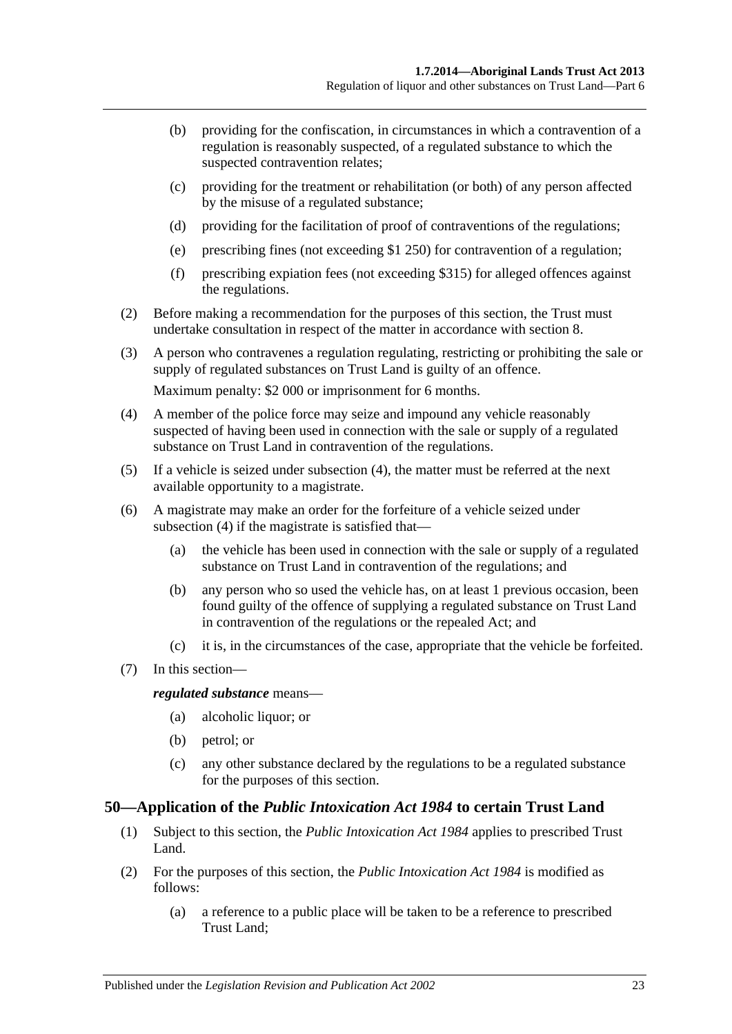- (b) providing for the confiscation, in circumstances in which a contravention of a regulation is reasonably suspected, of a regulated substance to which the suspected contravention relates;
- (c) providing for the treatment or rehabilitation (or both) of any person affected by the misuse of a regulated substance;
- (d) providing for the facilitation of proof of contraventions of the regulations;
- (e) prescribing fines (not exceeding \$1 250) for contravention of a regulation;
- (f) prescribing expiation fees (not exceeding \$315) for alleged offences against the regulations.
- (2) Before making a recommendation for the purposes of this section, the Trust must undertake consultation in respect of the matter in accordance with [section](#page-6-0) 8.
- (3) A person who contravenes a regulation regulating, restricting or prohibiting the sale or supply of regulated substances on Trust Land is guilty of an offence.

Maximum penalty: \$2 000 or imprisonment for 6 months.

- <span id="page-22-1"></span>(4) A member of the police force may seize and impound any vehicle reasonably suspected of having been used in connection with the sale or supply of a regulated substance on Trust Land in contravention of the regulations.
- (5) If a vehicle is seized under [subsection](#page-22-1) (4), the matter must be referred at the next available opportunity to a magistrate.
- (6) A magistrate may make an order for the forfeiture of a vehicle seized under [subsection](#page-22-1) (4) if the magistrate is satisfied that—
	- (a) the vehicle has been used in connection with the sale or supply of a regulated substance on Trust Land in contravention of the regulations; and
	- (b) any person who so used the vehicle has, on at least 1 previous occasion, been found guilty of the offence of supplying a regulated substance on Trust Land in contravention of the regulations or the repealed Act; and
	- (c) it is, in the circumstances of the case, appropriate that the vehicle be forfeited.
- (7) In this section—

*regulated substance* means—

- (a) alcoholic liquor; or
- (b) petrol; or
- (c) any other substance declared by the regulations to be a regulated substance for the purposes of this section.

#### <span id="page-22-0"></span>**50—Application of the** *Public Intoxication Act 1984* **to certain Trust Land**

- (1) Subject to this section, the *[Public Intoxication Act](http://www.legislation.sa.gov.au/index.aspx?action=legref&type=act&legtitle=Public%20Intoxication%20Act%201984) 1984* applies to prescribed Trust Land.
- (2) For the purposes of this section, the *[Public Intoxication Act](http://www.legislation.sa.gov.au/index.aspx?action=legref&type=act&legtitle=Public%20Intoxication%20Act%201984) 1984* is modified as follows:
	- (a) a reference to a public place will be taken to be a reference to prescribed Trust Land;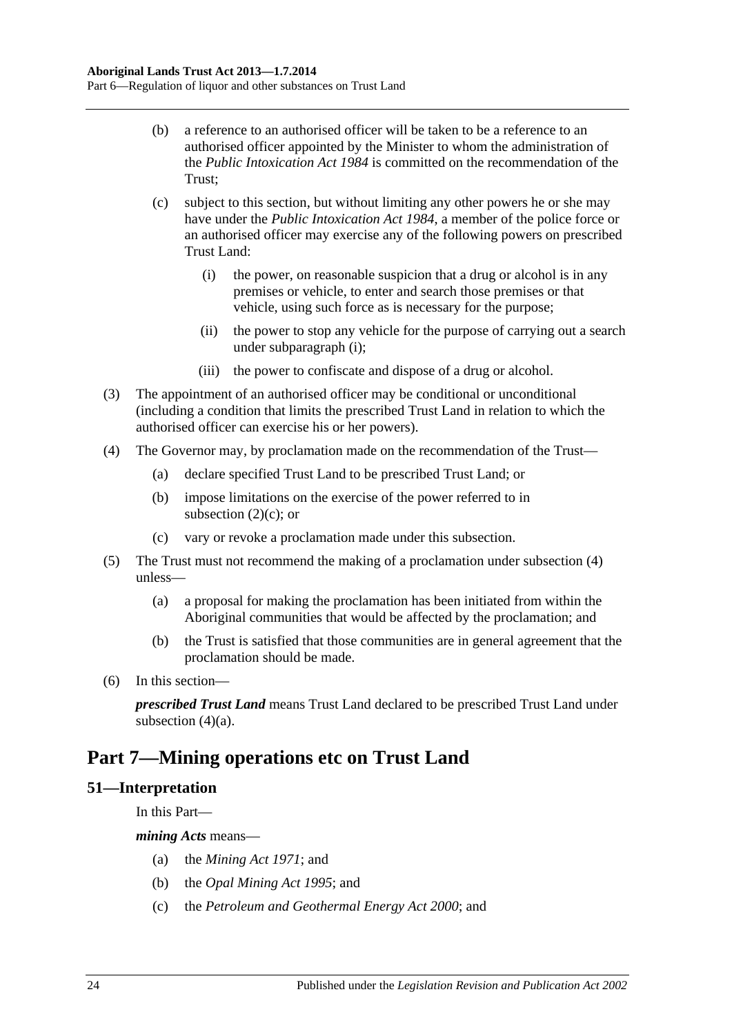- (b) a reference to an authorised officer will be taken to be a reference to an authorised officer appointed by the Minister to whom the administration of the *[Public Intoxication Act](http://www.legislation.sa.gov.au/index.aspx?action=legref&type=act&legtitle=Public%20Intoxication%20Act%201984) 1984* is committed on the recommendation of the Trust;
- <span id="page-23-3"></span><span id="page-23-2"></span>(c) subject to this section, but without limiting any other powers he or she may have under the *[Public Intoxication Act](http://www.legislation.sa.gov.au/index.aspx?action=legref&type=act&legtitle=Public%20Intoxication%20Act%201984) 1984*, a member of the police force or an authorised officer may exercise any of the following powers on prescribed Trust Land:
	- (i) the power, on reasonable suspicion that a drug or alcohol is in any premises or vehicle, to enter and search those premises or that vehicle, using such force as is necessary for the purpose;
	- (ii) the power to stop any vehicle for the purpose of carrying out a search under [subparagraph](#page-23-2) (i);
	- (iii) the power to confiscate and dispose of a drug or alcohol.
- (3) The appointment of an authorised officer may be conditional or unconditional (including a condition that limits the prescribed Trust Land in relation to which the authorised officer can exercise his or her powers).
- <span id="page-23-5"></span><span id="page-23-4"></span>(4) The Governor may, by proclamation made on the recommendation of the Trust—
	- (a) declare specified Trust Land to be prescribed Trust Land; or
	- (b) impose limitations on the exercise of the power referred to in [subsection](#page-23-3)  $(2)(c)$ ; or
	- (c) vary or revoke a proclamation made under this subsection.
- (5) The Trust must not recommend the making of a proclamation under [subsection](#page-23-4) (4) unless—
	- (a) a proposal for making the proclamation has been initiated from within the Aboriginal communities that would be affected by the proclamation; and
	- (b) the Trust is satisfied that those communities are in general agreement that the proclamation should be made.
- (6) In this section—

*prescribed Trust Land* means Trust Land declared to be prescribed Trust Land under [subsection](#page-23-5)  $(4)(a)$ .

# <span id="page-23-0"></span>**Part 7—Mining operations etc on Trust Land**

## <span id="page-23-1"></span>**51—Interpretation**

In this Part—

*mining Acts* means—

- (a) the *[Mining Act](http://www.legislation.sa.gov.au/index.aspx?action=legref&type=act&legtitle=Mining%20Act%201971) 1971*; and
- (b) the *[Opal Mining Act](http://www.legislation.sa.gov.au/index.aspx?action=legref&type=act&legtitle=Opal%20Mining%20Act%201995) 1995*; and
- (c) the *[Petroleum and Geothermal Energy Act](http://www.legislation.sa.gov.au/index.aspx?action=legref&type=act&legtitle=Petroleum%20and%20Geothermal%20Energy%20Act%202000) 2000*; and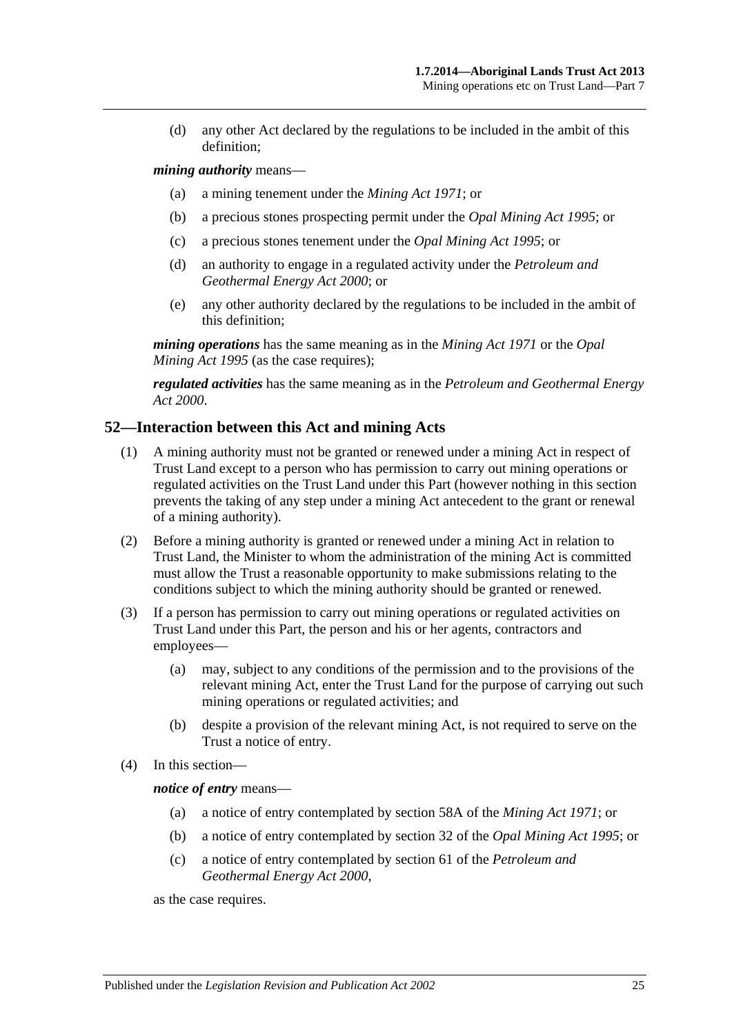(d) any other Act declared by the regulations to be included in the ambit of this definition;

#### *mining authority* means—

- (a) a mining tenement under the *[Mining Act](http://www.legislation.sa.gov.au/index.aspx?action=legref&type=act&legtitle=Mining%20Act%201971) 1971*; or
- (b) a precious stones prospecting permit under the *[Opal Mining Act](http://www.legislation.sa.gov.au/index.aspx?action=legref&type=act&legtitle=Opal%20Mining%20Act%201995) 1995*; or
- (c) a precious stones tenement under the *[Opal Mining Act](http://www.legislation.sa.gov.au/index.aspx?action=legref&type=act&legtitle=Opal%20Mining%20Act%201995) 1995*; or
- (d) an authority to engage in a regulated activity under the *[Petroleum and](http://www.legislation.sa.gov.au/index.aspx?action=legref&type=act&legtitle=Petroleum%20and%20Geothermal%20Energy%20Act%202000)  [Geothermal Energy Act](http://www.legislation.sa.gov.au/index.aspx?action=legref&type=act&legtitle=Petroleum%20and%20Geothermal%20Energy%20Act%202000) 2000*; or
- (e) any other authority declared by the regulations to be included in the ambit of this definition;

*mining operations* has the same meaning as in the *[Mining Act](http://www.legislation.sa.gov.au/index.aspx?action=legref&type=act&legtitle=Mining%20Act%201971) 1971* or the *[Opal](http://www.legislation.sa.gov.au/index.aspx?action=legref&type=act&legtitle=Opal%20Mining%20Act%201995)  [Mining Act](http://www.legislation.sa.gov.au/index.aspx?action=legref&type=act&legtitle=Opal%20Mining%20Act%201995) 1995* (as the case requires);

*regulated activities* has the same meaning as in the *[Petroleum and Geothermal Energy](http://www.legislation.sa.gov.au/index.aspx?action=legref&type=act&legtitle=Petroleum%20and%20Geothermal%20Energy%20Act%202000)  Act [2000](http://www.legislation.sa.gov.au/index.aspx?action=legref&type=act&legtitle=Petroleum%20and%20Geothermal%20Energy%20Act%202000)*.

#### <span id="page-24-0"></span>**52—Interaction between this Act and mining Acts**

- (1) A mining authority must not be granted or renewed under a mining Act in respect of Trust Land except to a person who has permission to carry out mining operations or regulated activities on the Trust Land under this Part (however nothing in this section prevents the taking of any step under a mining Act antecedent to the grant or renewal of a mining authority).
- (2) Before a mining authority is granted or renewed under a mining Act in relation to Trust Land, the Minister to whom the administration of the mining Act is committed must allow the Trust a reasonable opportunity to make submissions relating to the conditions subject to which the mining authority should be granted or renewed.
- (3) If a person has permission to carry out mining operations or regulated activities on Trust Land under this Part, the person and his or her agents, contractors and employees—
	- (a) may, subject to any conditions of the permission and to the provisions of the relevant mining Act, enter the Trust Land for the purpose of carrying out such mining operations or regulated activities; and
	- (b) despite a provision of the relevant mining Act, is not required to serve on the Trust a notice of entry.
- (4) In this section—

*notice of entry* means—

- (a) a notice of entry contemplated by section 58A of the *[Mining Act](http://www.legislation.sa.gov.au/index.aspx?action=legref&type=act&legtitle=Mining%20Act%201971) 1971*; or
- (b) a notice of entry contemplated by section 32 of the *[Opal Mining Act](http://www.legislation.sa.gov.au/index.aspx?action=legref&type=act&legtitle=Opal%20Mining%20Act%201995) 1995*; or
- (c) a notice of entry contemplated by section 61 of the *[Petroleum and](http://www.legislation.sa.gov.au/index.aspx?action=legref&type=act&legtitle=Petroleum%20and%20Geothermal%20Energy%20Act%202000)  [Geothermal Energy Act](http://www.legislation.sa.gov.au/index.aspx?action=legref&type=act&legtitle=Petroleum%20and%20Geothermal%20Energy%20Act%202000) 2000*,

as the case requires.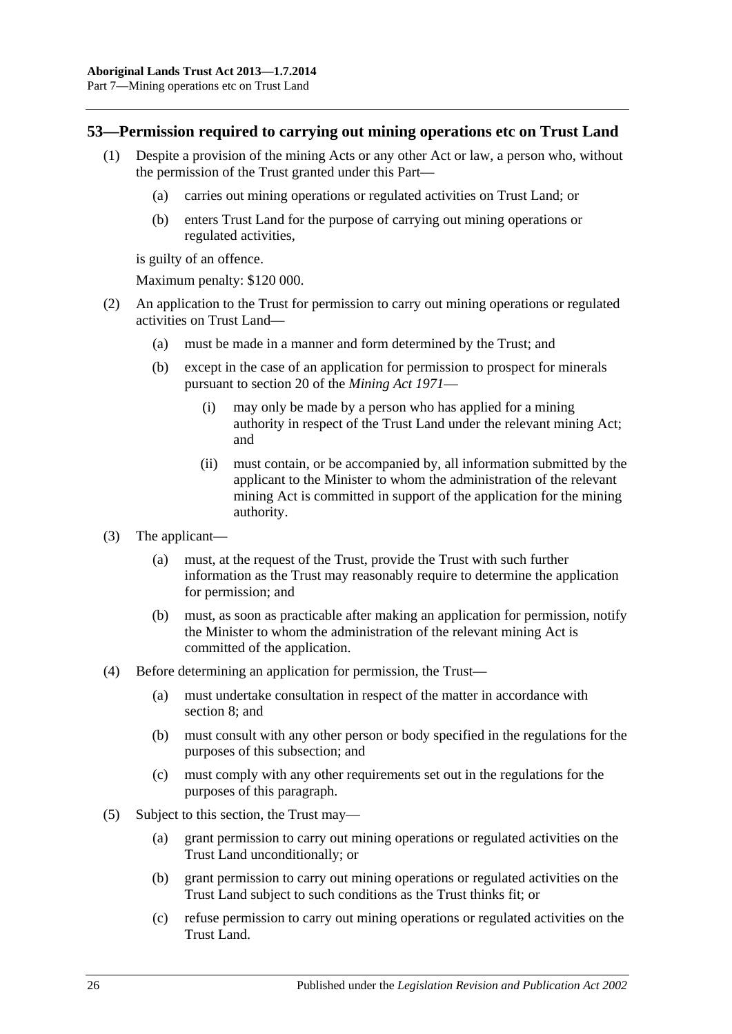### <span id="page-25-0"></span>**53—Permission required to carrying out mining operations etc on Trust Land**

- (1) Despite a provision of the mining Acts or any other Act or law, a person who, without the permission of the Trust granted under this Part—
	- (a) carries out mining operations or regulated activities on Trust Land; or
	- (b) enters Trust Land for the purpose of carrying out mining operations or regulated activities,

is guilty of an offence.

Maximum penalty: \$120 000.

- (2) An application to the Trust for permission to carry out mining operations or regulated activities on Trust Land—
	- (a) must be made in a manner and form determined by the Trust; and
	- (b) except in the case of an application for permission to prospect for minerals pursuant to section 20 of the *[Mining Act](http://www.legislation.sa.gov.au/index.aspx?action=legref&type=act&legtitle=Mining%20Act%201971) 1971*—
		- (i) may only be made by a person who has applied for a mining authority in respect of the Trust Land under the relevant mining Act; and
		- (ii) must contain, or be accompanied by, all information submitted by the applicant to the Minister to whom the administration of the relevant mining Act is committed in support of the application for the mining authority.
- (3) The applicant—
	- (a) must, at the request of the Trust, provide the Trust with such further information as the Trust may reasonably require to determine the application for permission; and
	- (b) must, as soon as practicable after making an application for permission, notify the Minister to whom the administration of the relevant mining Act is committed of the application.
- (4) Before determining an application for permission, the Trust—
	- (a) must undertake consultation in respect of the matter in accordance with [section](#page-6-0) 8; and
	- (b) must consult with any other person or body specified in the regulations for the purposes of this subsection; and
	- (c) must comply with any other requirements set out in the regulations for the purposes of this paragraph.
- (5) Subject to this section, the Trust may—
	- (a) grant permission to carry out mining operations or regulated activities on the Trust Land unconditionally; or
	- (b) grant permission to carry out mining operations or regulated activities on the Trust Land subject to such conditions as the Trust thinks fit; or
	- (c) refuse permission to carry out mining operations or regulated activities on the Trust Land.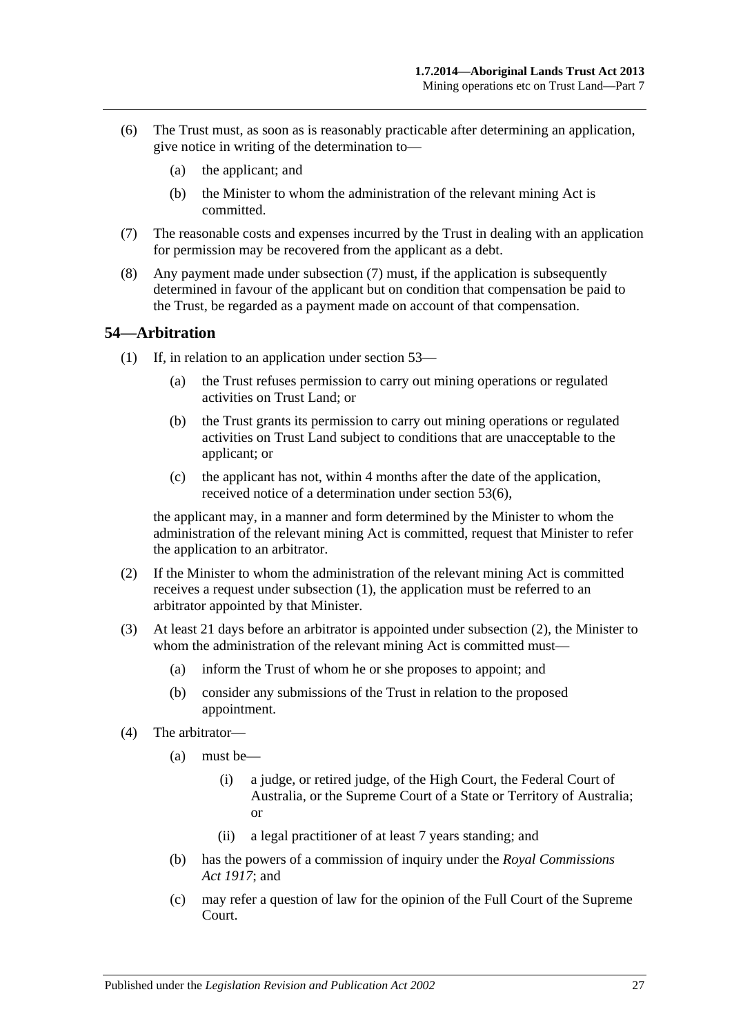- <span id="page-26-2"></span>(6) The Trust must, as soon as is reasonably practicable after determining an application, give notice in writing of the determination to—
	- (a) the applicant; and
	- (b) the Minister to whom the administration of the relevant mining Act is committed.
- <span id="page-26-1"></span>(7) The reasonable costs and expenses incurred by the Trust in dealing with an application for permission may be recovered from the applicant as a debt.
- (8) Any payment made under [subsection](#page-26-1) (7) must, if the application is subsequently determined in favour of the applicant but on condition that compensation be paid to the Trust, be regarded as a payment made on account of that compensation.

#### <span id="page-26-3"></span><span id="page-26-0"></span>**54—Arbitration**

- (1) If, in relation to an application under [section](#page-25-0) 53—
	- (a) the Trust refuses permission to carry out mining operations or regulated activities on Trust Land; or
	- (b) the Trust grants its permission to carry out mining operations or regulated activities on Trust Land subject to conditions that are unacceptable to the applicant; or
	- (c) the applicant has not, within 4 months after the date of the application, received notice of a determination under [section](#page-26-2) 53(6),

the applicant may, in a manner and form determined by the Minister to whom the administration of the relevant mining Act is committed, request that Minister to refer the application to an arbitrator.

- <span id="page-26-4"></span>(2) If the Minister to whom the administration of the relevant mining Act is committed receives a request under [subsection](#page-26-3) (1), the application must be referred to an arbitrator appointed by that Minister.
- (3) At least 21 days before an arbitrator is appointed under [subsection](#page-26-4) (2), the Minister to whom the administration of the relevant mining Act is committed must-
	- (a) inform the Trust of whom he or she proposes to appoint; and
	- (b) consider any submissions of the Trust in relation to the proposed appointment.
- (4) The arbitrator—
	- (a) must be—
		- (i) a judge, or retired judge, of the High Court, the Federal Court of Australia, or the Supreme Court of a State or Territory of Australia; or
		- (ii) a legal practitioner of at least 7 years standing; and
	- (b) has the powers of a commission of inquiry under the *[Royal Commissions](http://www.legislation.sa.gov.au/index.aspx?action=legref&type=act&legtitle=Royal%20Commissions%20Act%201917)  Act [1917](http://www.legislation.sa.gov.au/index.aspx?action=legref&type=act&legtitle=Royal%20Commissions%20Act%201917)*; and
	- (c) may refer a question of law for the opinion of the Full Court of the Supreme Court.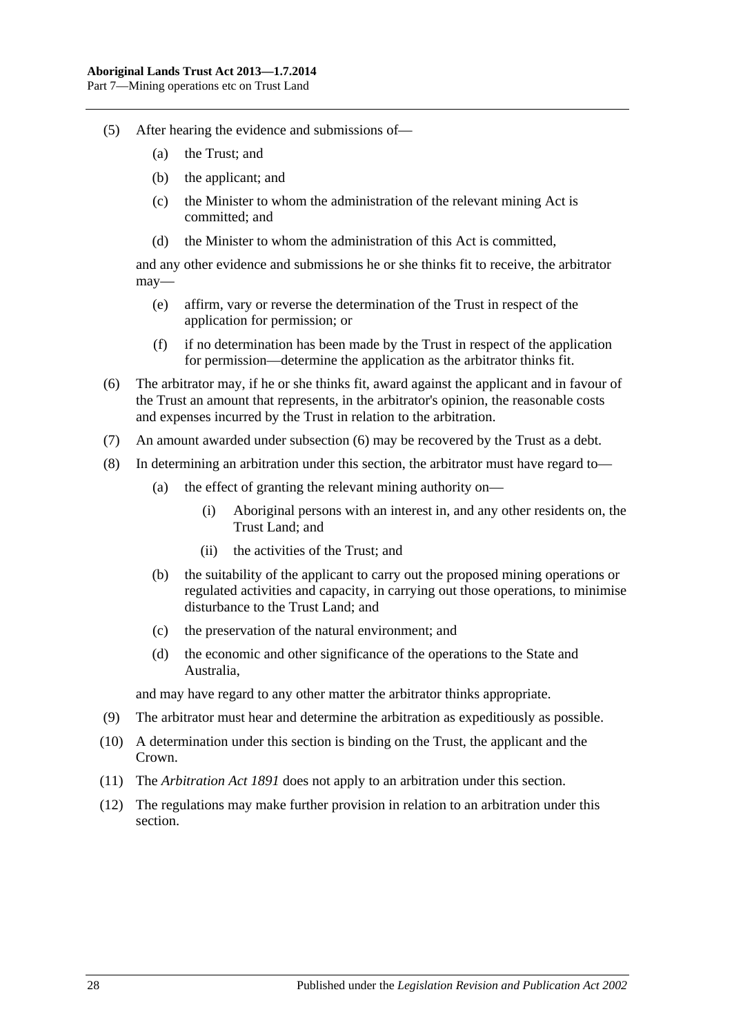- (5) After hearing the evidence and submissions of—
	- (a) the Trust; and
	- (b) the applicant; and
	- (c) the Minister to whom the administration of the relevant mining Act is committed; and
	- (d) the Minister to whom the administration of this Act is committed,

and any other evidence and submissions he or she thinks fit to receive, the arbitrator may—

- (e) affirm, vary or reverse the determination of the Trust in respect of the application for permission; or
- (f) if no determination has been made by the Trust in respect of the application for permission—determine the application as the arbitrator thinks fit.
- <span id="page-27-0"></span>(6) The arbitrator may, if he or she thinks fit, award against the applicant and in favour of the Trust an amount that represents, in the arbitrator's opinion, the reasonable costs and expenses incurred by the Trust in relation to the arbitration.
- (7) An amount awarded under [subsection](#page-27-0) (6) may be recovered by the Trust as a debt.
- (8) In determining an arbitration under this section, the arbitrator must have regard to—
	- (a) the effect of granting the relevant mining authority on—
		- (i) Aboriginal persons with an interest in, and any other residents on, the Trust Land; and
		- (ii) the activities of the Trust; and
	- (b) the suitability of the applicant to carry out the proposed mining operations or regulated activities and capacity, in carrying out those operations, to minimise disturbance to the Trust Land; and
	- (c) the preservation of the natural environment; and
	- (d) the economic and other significance of the operations to the State and Australia,

and may have regard to any other matter the arbitrator thinks appropriate.

- (9) The arbitrator must hear and determine the arbitration as expeditiously as possible.
- (10) A determination under this section is binding on the Trust, the applicant and the Crown.
- (11) The *[Arbitration Act](http://www.legislation.sa.gov.au/index.aspx?action=legref&type=act&legtitle=Arbitration%20Act%201891) 1891* does not apply to an arbitration under this section.
- (12) The regulations may make further provision in relation to an arbitration under this section.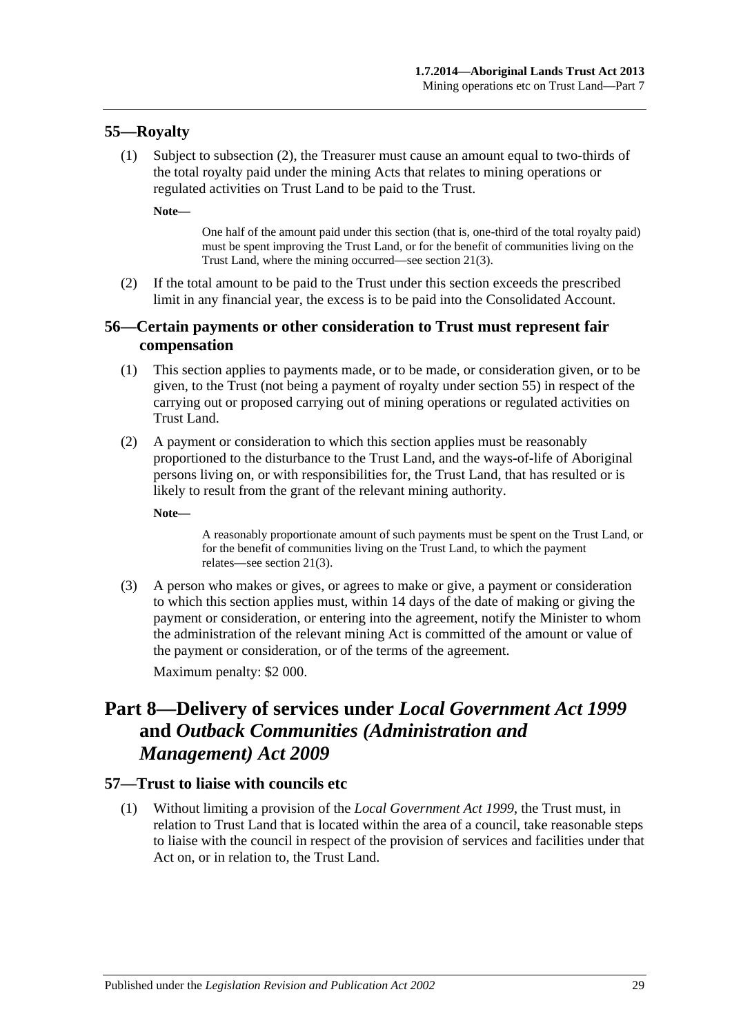### <span id="page-28-0"></span>**55—Royalty**

(1) Subject to [subsection](#page-28-4) (2), the Treasurer must cause an amount equal to two-thirds of the total royalty paid under the mining Acts that relates to mining operations or regulated activities on Trust Land to be paid to the Trust.

**Note—**

One half of the amount paid under this section (that is, one-third of the total royalty paid) must be spent improving the Trust Land, or for the benefit of communities living on the Trust Land, where the mining occurred—see [section](#page-11-1) 21(3).

<span id="page-28-4"></span>(2) If the total amount to be paid to the Trust under this section exceeds the prescribed limit in any financial year, the excess is to be paid into the Consolidated Account.

### <span id="page-28-1"></span>**56—Certain payments or other consideration to Trust must represent fair compensation**

- (1) This section applies to payments made, or to be made, or consideration given, or to be given, to the Trust (not being a payment of royalty under [section](#page-28-0) 55) in respect of the carrying out or proposed carrying out of mining operations or regulated activities on Trust Land.
- (2) A payment or consideration to which this section applies must be reasonably proportioned to the disturbance to the Trust Land, and the ways-of-life of Aboriginal persons living on, or with responsibilities for, the Trust Land, that has resulted or is likely to result from the grant of the relevant mining authority.

**Note—**

A reasonably proportionate amount of such payments must be spent on the Trust Land, or for the benefit of communities living on the Trust Land, to which the payment relates—see [section](#page-11-1) 21(3).

(3) A person who makes or gives, or agrees to make or give, a payment or consideration to which this section applies must, within 14 days of the date of making or giving the payment or consideration, or entering into the agreement, notify the Minister to whom the administration of the relevant mining Act is committed of the amount or value of the payment or consideration, or of the terms of the agreement. Maximum penalty: \$2 000.

# <span id="page-28-2"></span>**Part 8—Delivery of services under** *Local Government Act 1999* **and** *Outback Communities (Administration and Management) Act 2009*

#### <span id="page-28-3"></span>**57—Trust to liaise with councils etc**

(1) Without limiting a provision of the *[Local Government Act](http://www.legislation.sa.gov.au/index.aspx?action=legref&type=act&legtitle=Local%20Government%20Act%201999) 1999*, the Trust must, in relation to Trust Land that is located within the area of a council, take reasonable steps to liaise with the council in respect of the provision of services and facilities under that Act on, or in relation to, the Trust Land.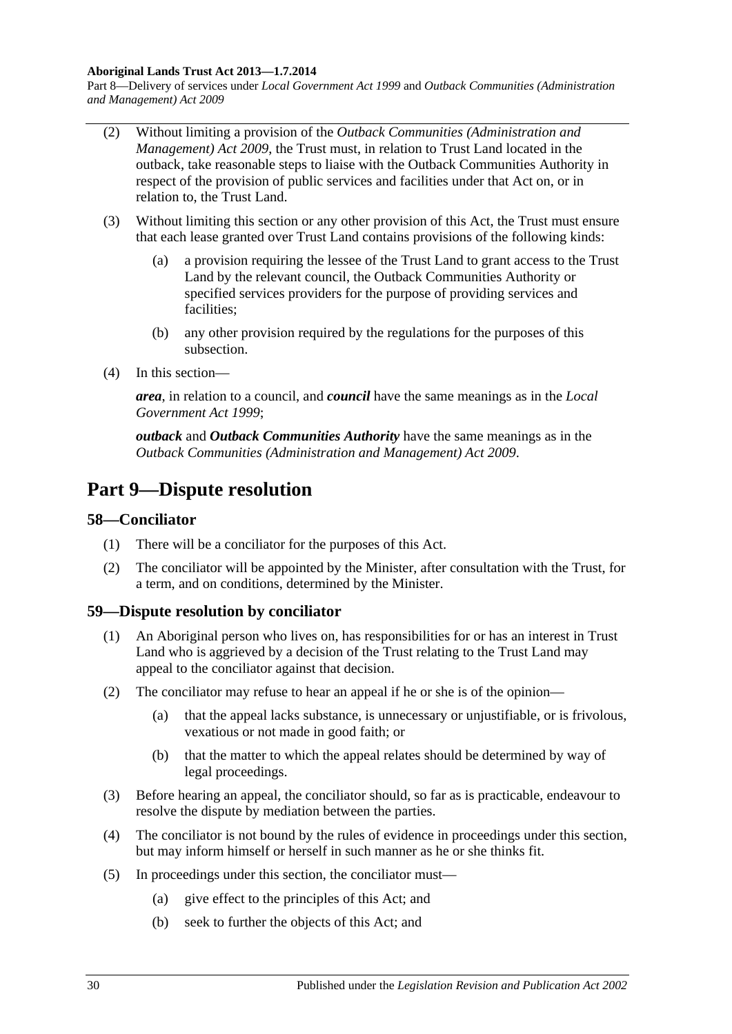#### **Aboriginal Lands Trust Act 2013—1.7.2014**

Part 8—Delivery of services under *Local Government Act 1999* and *Outback Communities (Administration and Management) Act 2009*

- (2) Without limiting a provision of the *[Outback Communities \(Administration and](http://www.legislation.sa.gov.au/index.aspx?action=legref&type=act&legtitle=Outback%20Communities%20(Administration%20and%20Management)%20Act%202009)  [Management\) Act](http://www.legislation.sa.gov.au/index.aspx?action=legref&type=act&legtitle=Outback%20Communities%20(Administration%20and%20Management)%20Act%202009) 2009*, the Trust must, in relation to Trust Land located in the outback, take reasonable steps to liaise with the Outback Communities Authority in respect of the provision of public services and facilities under that Act on, or in relation to, the Trust Land.
- (3) Without limiting this section or any other provision of this Act, the Trust must ensure that each lease granted over Trust Land contains provisions of the following kinds:
	- (a) a provision requiring the lessee of the Trust Land to grant access to the Trust Land by the relevant council, the Outback Communities Authority or specified services providers for the purpose of providing services and facilities;
	- (b) any other provision required by the regulations for the purposes of this subsection.
- (4) In this section—

*area*, in relation to a council, and *council* have the same meanings as in the *[Local](http://www.legislation.sa.gov.au/index.aspx?action=legref&type=act&legtitle=Local%20Government%20Act%201999)  [Government Act](http://www.legislation.sa.gov.au/index.aspx?action=legref&type=act&legtitle=Local%20Government%20Act%201999) 1999*;

*outback* and *Outback Communities Authority* have the same meanings as in the *[Outback Communities \(Administration and Management\) Act](http://www.legislation.sa.gov.au/index.aspx?action=legref&type=act&legtitle=Outback%20Communities%20(Administration%20and%20Management)%20Act%202009) 2009*.

# <span id="page-29-0"></span>**Part 9—Dispute resolution**

#### <span id="page-29-1"></span>**58—Conciliator**

- (1) There will be a conciliator for the purposes of this Act.
- (2) The conciliator will be appointed by the Minister, after consultation with the Trust, for a term, and on conditions, determined by the Minister.

#### <span id="page-29-2"></span>**59—Dispute resolution by conciliator**

- (1) An Aboriginal person who lives on, has responsibilities for or has an interest in Trust Land who is aggrieved by a decision of the Trust relating to the Trust Land may appeal to the conciliator against that decision.
- (2) The conciliator may refuse to hear an appeal if he or she is of the opinion—
	- (a) that the appeal lacks substance, is unnecessary or unjustifiable, or is frivolous, vexatious or not made in good faith; or
	- (b) that the matter to which the appeal relates should be determined by way of legal proceedings.
- (3) Before hearing an appeal, the conciliator should, so far as is practicable, endeavour to resolve the dispute by mediation between the parties.
- (4) The conciliator is not bound by the rules of evidence in proceedings under this section, but may inform himself or herself in such manner as he or she thinks fit.
- (5) In proceedings under this section, the conciliator must—
	- (a) give effect to the principles of this Act; and
	- (b) seek to further the objects of this Act; and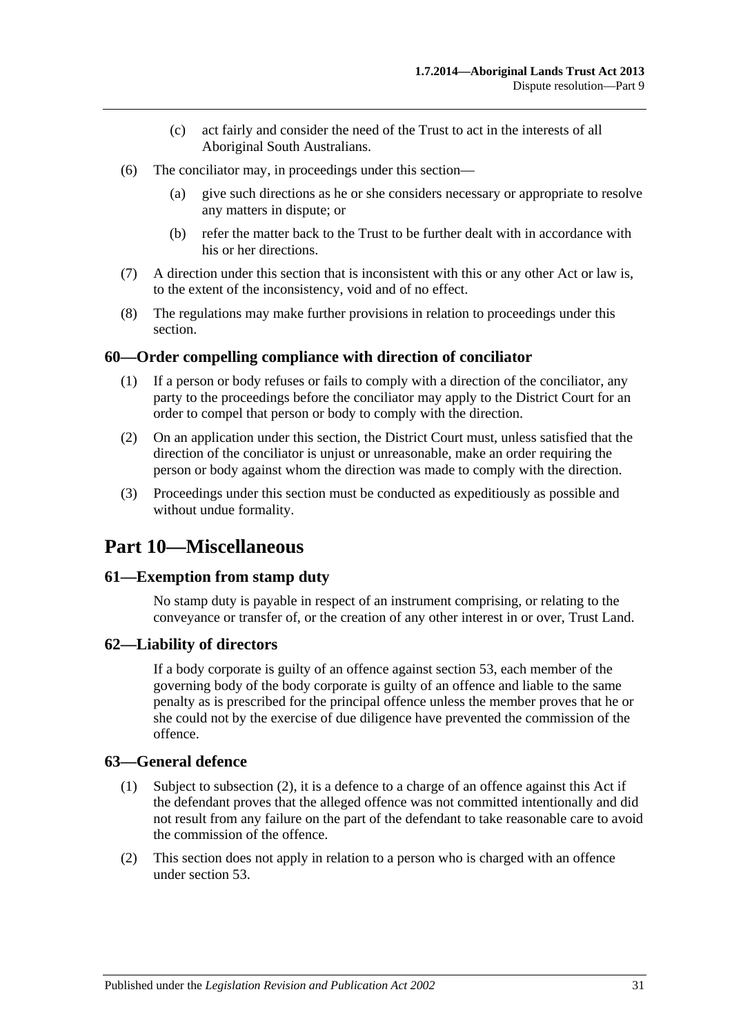- (c) act fairly and consider the need of the Trust to act in the interests of all Aboriginal South Australians.
- (6) The conciliator may, in proceedings under this section—
	- (a) give such directions as he or she considers necessary or appropriate to resolve any matters in dispute; or
	- (b) refer the matter back to the Trust to be further dealt with in accordance with his or her directions.
- (7) A direction under this section that is inconsistent with this or any other Act or law is, to the extent of the inconsistency, void and of no effect.
- (8) The regulations may make further provisions in relation to proceedings under this section.

### <span id="page-30-0"></span>**60—Order compelling compliance with direction of conciliator**

- (1) If a person or body refuses or fails to comply with a direction of the conciliator, any party to the proceedings before the conciliator may apply to the District Court for an order to compel that person or body to comply with the direction.
- (2) On an application under this section, the District Court must, unless satisfied that the direction of the conciliator is unjust or unreasonable, make an order requiring the person or body against whom the direction was made to comply with the direction.
- (3) Proceedings under this section must be conducted as expeditiously as possible and without undue formality.

# <span id="page-30-1"></span>**Part 10—Miscellaneous**

#### <span id="page-30-2"></span>**61—Exemption from stamp duty**

No stamp duty is payable in respect of an instrument comprising, or relating to the conveyance or transfer of, or the creation of any other interest in or over, Trust Land.

#### <span id="page-30-3"></span>**62—Liability of directors**

If a body corporate is guilty of an offence against [section](#page-25-0) 53, each member of the governing body of the body corporate is guilty of an offence and liable to the same penalty as is prescribed for the principal offence unless the member proves that he or she could not by the exercise of due diligence have prevented the commission of the offence.

#### <span id="page-30-4"></span>**63—General defence**

- (1) Subject to [subsection](#page-30-5) (2), it is a defence to a charge of an offence against this Act if the defendant proves that the alleged offence was not committed intentionally and did not result from any failure on the part of the defendant to take reasonable care to avoid the commission of the offence.
- <span id="page-30-5"></span>(2) This section does not apply in relation to a person who is charged with an offence under [section](#page-25-0) 53.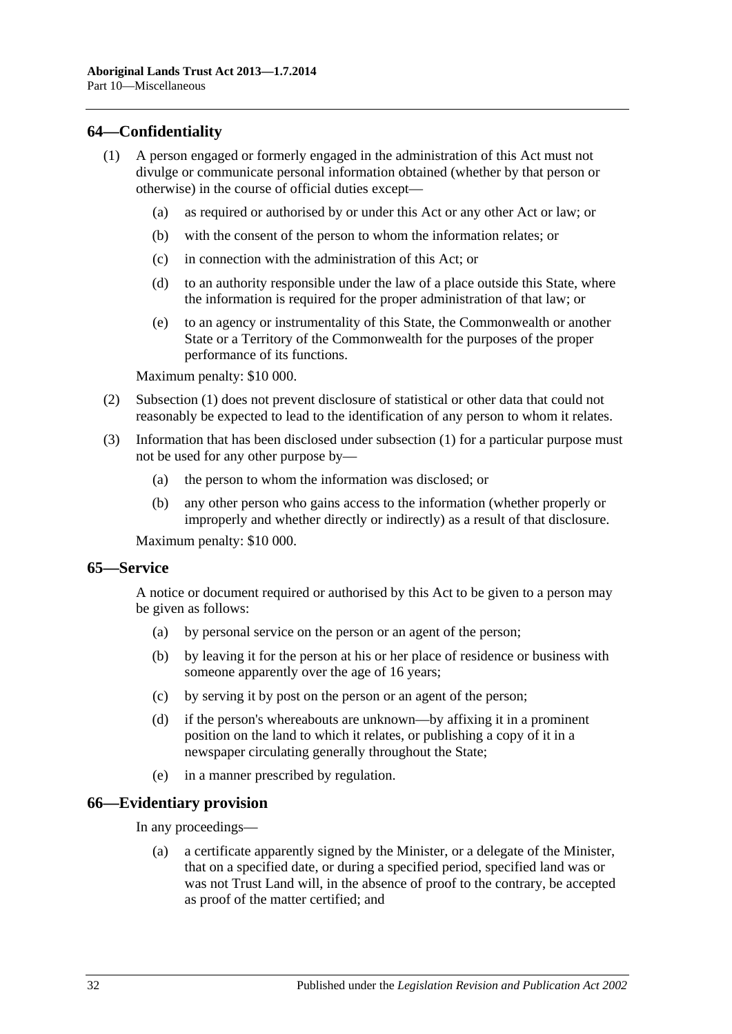## <span id="page-31-3"></span><span id="page-31-0"></span>**64—Confidentiality**

- (1) A person engaged or formerly engaged in the administration of this Act must not divulge or communicate personal information obtained (whether by that person or otherwise) in the course of official duties except—
	- (a) as required or authorised by or under this Act or any other Act or law; or
	- (b) with the consent of the person to whom the information relates; or
	- (c) in connection with the administration of this Act; or
	- (d) to an authority responsible under the law of a place outside this State, where the information is required for the proper administration of that law; or
	- (e) to an agency or instrumentality of this State, the Commonwealth or another State or a Territory of the Commonwealth for the purposes of the proper performance of its functions.

Maximum penalty: \$10 000.

- (2) [Subsection](#page-31-3) (1) does not prevent disclosure of statistical or other data that could not reasonably be expected to lead to the identification of any person to whom it relates.
- (3) Information that has been disclosed under [subsection](#page-31-3) (1) for a particular purpose must not be used for any other purpose by—
	- (a) the person to whom the information was disclosed; or
	- (b) any other person who gains access to the information (whether properly or improperly and whether directly or indirectly) as a result of that disclosure.

Maximum penalty: \$10 000.

#### <span id="page-31-1"></span>**65—Service**

A notice or document required or authorised by this Act to be given to a person may be given as follows:

- (a) by personal service on the person or an agent of the person;
- (b) by leaving it for the person at his or her place of residence or business with someone apparently over the age of 16 years;
- (c) by serving it by post on the person or an agent of the person;
- (d) if the person's whereabouts are unknown—by affixing it in a prominent position on the land to which it relates, or publishing a copy of it in a newspaper circulating generally throughout the State;
- (e) in a manner prescribed by regulation.

## <span id="page-31-2"></span>**66—Evidentiary provision**

In any proceedings—

(a) a certificate apparently signed by the Minister, or a delegate of the Minister, that on a specified date, or during a specified period, specified land was or was not Trust Land will, in the absence of proof to the contrary, be accepted as proof of the matter certified; and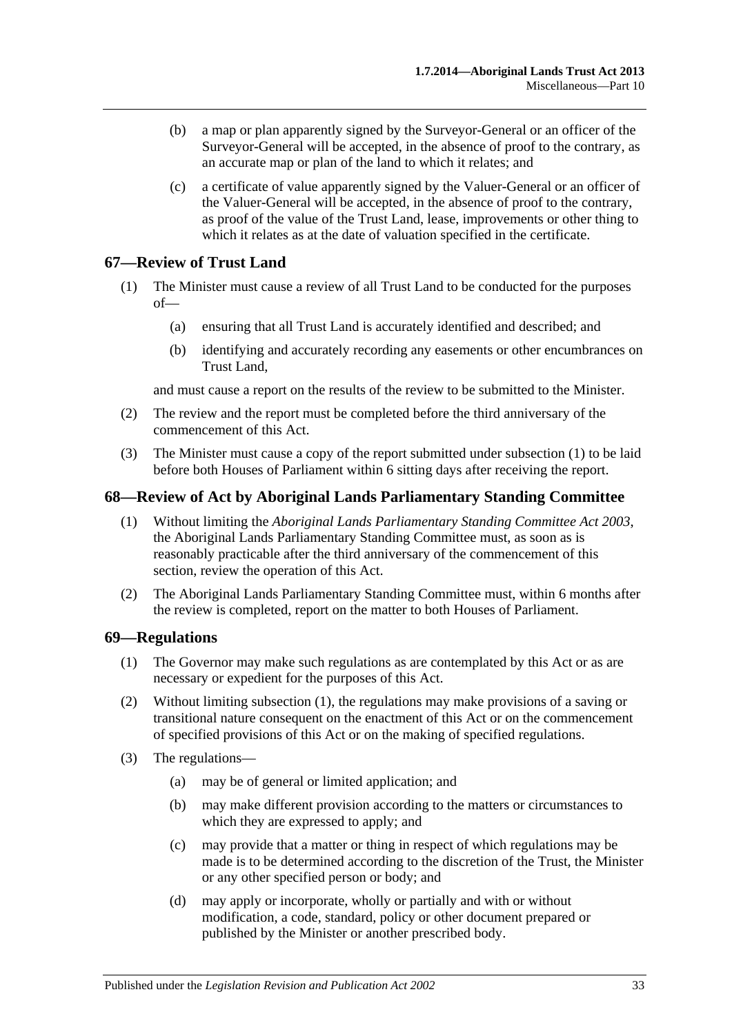- (b) a map or plan apparently signed by the Surveyor-General or an officer of the Surveyor-General will be accepted, in the absence of proof to the contrary, as an accurate map or plan of the land to which it relates; and
- (c) a certificate of value apparently signed by the Valuer-General or an officer of the Valuer-General will be accepted, in the absence of proof to the contrary, as proof of the value of the Trust Land, lease, improvements or other thing to which it relates as at the date of valuation specified in the certificate.

### <span id="page-32-3"></span><span id="page-32-0"></span>**67—Review of Trust Land**

- (1) The Minister must cause a review of all Trust Land to be conducted for the purposes of—
	- (a) ensuring that all Trust Land is accurately identified and described; and
	- (b) identifying and accurately recording any easements or other encumbrances on Trust Land,

and must cause a report on the results of the review to be submitted to the Minister.

- (2) The review and the report must be completed before the third anniversary of the commencement of this Act.
- (3) The Minister must cause a copy of the report submitted under [subsection](#page-32-3) (1) to be laid before both Houses of Parliament within 6 sitting days after receiving the report.

### <span id="page-32-1"></span>**68—Review of Act by Aboriginal Lands Parliamentary Standing Committee**

- (1) Without limiting the *[Aboriginal Lands Parliamentary Standing Committee Act](http://www.legislation.sa.gov.au/index.aspx?action=legref&type=act&legtitle=Aboriginal%20Lands%20Parliamentary%20Standing%20Committee%20Act%202003) 2003*, the Aboriginal Lands Parliamentary Standing Committee must, as soon as is reasonably practicable after the third anniversary of the commencement of this section, review the operation of this Act.
- (2) The Aboriginal Lands Parliamentary Standing Committee must, within 6 months after the review is completed, report on the matter to both Houses of Parliament.

#### <span id="page-32-4"></span><span id="page-32-2"></span>**69—Regulations**

- (1) The Governor may make such regulations as are contemplated by this Act or as are necessary or expedient for the purposes of this Act.
- (2) Without limiting [subsection](#page-32-4) (1), the regulations may make provisions of a saving or transitional nature consequent on the enactment of this Act or on the commencement of specified provisions of this Act or on the making of specified regulations.
- (3) The regulations—
	- (a) may be of general or limited application; and
	- (b) may make different provision according to the matters or circumstances to which they are expressed to apply; and
	- (c) may provide that a matter or thing in respect of which regulations may be made is to be determined according to the discretion of the Trust, the Minister or any other specified person or body; and
	- (d) may apply or incorporate, wholly or partially and with or without modification, a code, standard, policy or other document prepared or published by the Minister or another prescribed body.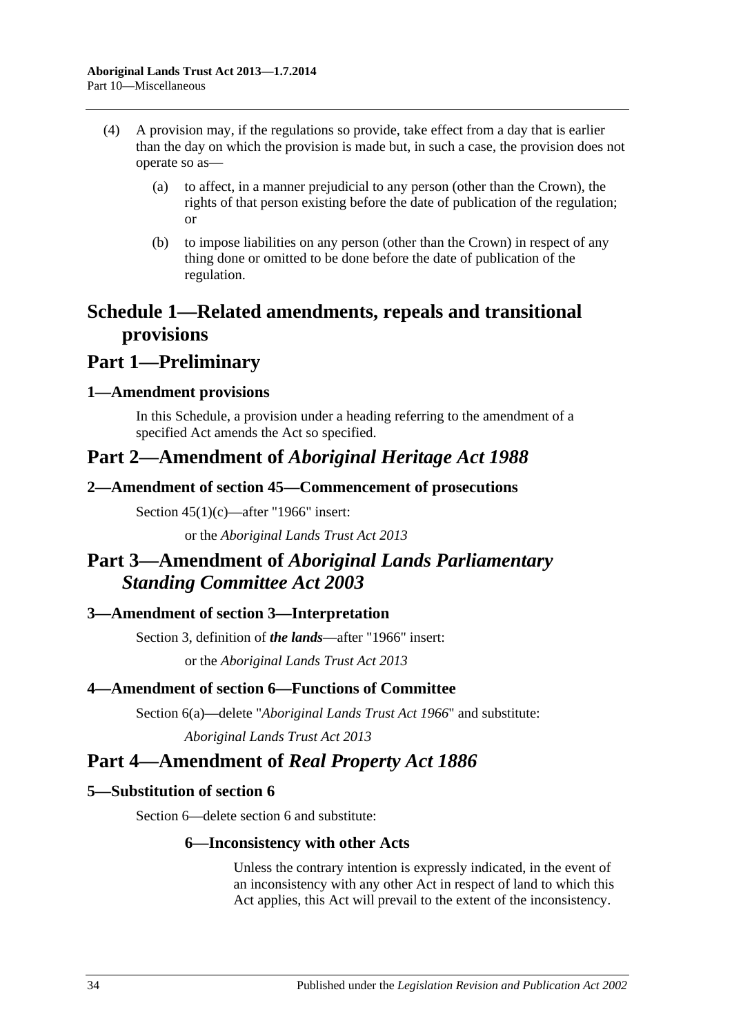- (4) A provision may, if the regulations so provide, take effect from a day that is earlier than the day on which the provision is made but, in such a case, the provision does not operate so as—
	- (a) to affect, in a manner prejudicial to any person (other than the Crown), the rights of that person existing before the date of publication of the regulation; or
	- (b) to impose liabilities on any person (other than the Crown) in respect of any thing done or omitted to be done before the date of publication of the regulation.

# <span id="page-33-0"></span>**Schedule 1—Related amendments, repeals and transitional provisions**

# **Part 1—Preliminary**

# <span id="page-33-1"></span>**1—Amendment provisions**

In this Schedule, a provision under a heading referring to the amendment of a specified Act amends the Act so specified.

# **Part 2—Amendment of** *Aboriginal Heritage Act 1988*

# <span id="page-33-2"></span>**2—Amendment of section 45—Commencement of prosecutions**

Section 45(1)(c)—after "1966" insert:

or the *[Aboriginal Lands Trust Act](http://www.legislation.sa.gov.au/index.aspx?action=legref&type=act&legtitle=Aboriginal%20Lands%20Trust%20Act%202013) 2013*

# **Part 3—Amendment of** *Aboriginal Lands Parliamentary Standing Committee Act 2003*

# <span id="page-33-3"></span>**3—Amendment of section 3—Interpretation**

Section 3, definition of *the lands*—after "1966" insert: or the *[Aboriginal Lands Trust Act](http://www.legislation.sa.gov.au/index.aspx?action=legref&type=act&legtitle=Aboriginal%20Lands%20Trust%20Act%202013) 2013*

# <span id="page-33-4"></span>**4—Amendment of section 6—Functions of Committee**

Section 6(a)—delete "*[Aboriginal Lands Trust Act](http://www.legislation.sa.gov.au/index.aspx?action=legref&type=act&legtitle=Aboriginal%20Lands%20Trust%20Act%201966) 1966*" and substitute: *[Aboriginal Lands Trust Act](http://www.legislation.sa.gov.au/index.aspx?action=legref&type=act&legtitle=Aboriginal%20Lands%20Trust%20Act%202013) 2013*

# **Part 4—Amendment of** *Real Property Act 1886*

# <span id="page-33-5"></span>**5—Substitution of section 6**

Section 6—delete section 6 and substitute:

# **6—Inconsistency with other Acts**

Unless the contrary intention is expressly indicated, in the event of an inconsistency with any other Act in respect of land to which this Act applies, this Act will prevail to the extent of the inconsistency.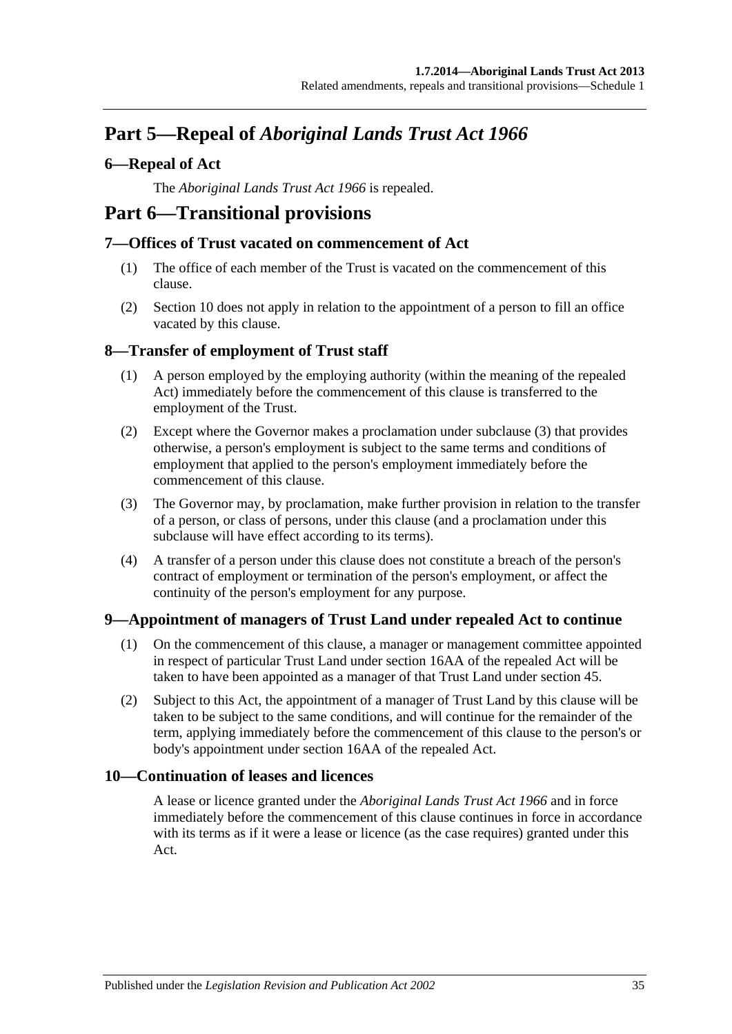# **Part 5—Repeal of** *Aboriginal Lands Trust Act 1966*

# <span id="page-34-0"></span>**6—Repeal of Act**

The *[Aboriginal Lands Trust Act](http://www.legislation.sa.gov.au/index.aspx?action=legref&type=act&legtitle=Aboriginal%20Lands%20Trust%20Act%201966) 1966* is repealed.

# **Part 6—Transitional provisions**

## <span id="page-34-1"></span>**7—Offices of Trust vacated on commencement of Act**

- (1) The office of each member of the Trust is vacated on the commencement of this clause.
- (2) [Section](#page-7-0) 10 does not apply in relation to the appointment of a person to fill an office vacated by this clause.

# <span id="page-34-2"></span>**8—Transfer of employment of Trust staff**

- (1) A person employed by the employing authority (within the meaning of the repealed Act) immediately before the commencement of this clause is transferred to the employment of the Trust.
- (2) Except where the Governor makes a proclamation under [subclause](#page-34-5) (3) that provides otherwise, a person's employment is subject to the same terms and conditions of employment that applied to the person's employment immediately before the commencement of this clause.
- <span id="page-34-5"></span>(3) The Governor may, by proclamation, make further provision in relation to the transfer of a person, or class of persons, under this clause (and a proclamation under this subclause will have effect according to its terms).
- (4) A transfer of a person under this clause does not constitute a breach of the person's contract of employment or termination of the person's employment, or affect the continuity of the person's employment for any purpose.

# <span id="page-34-3"></span>**9—Appointment of managers of Trust Land under repealed Act to continue**

- (1) On the commencement of this clause, a manager or management committee appointed in respect of particular Trust Land under section 16AA of the repealed Act will be taken to have been appointed as a manager of that Trust Land under [section](#page-20-1) 45.
- (2) Subject to this Act, the appointment of a manager of Trust Land by this clause will be taken to be subject to the same conditions, and will continue for the remainder of the term, applying immediately before the commencement of this clause to the person's or body's appointment under section 16AA of the repealed Act.

## <span id="page-34-4"></span>**10—Continuation of leases and licences**

A lease or licence granted under the *[Aboriginal Lands Trust Act](http://www.legislation.sa.gov.au/index.aspx?action=legref&type=act&legtitle=Aboriginal%20Lands%20Trust%20Act%201966) 1966* and in force immediately before the commencement of this clause continues in force in accordance with its terms as if it were a lease or licence (as the case requires) granted under this Act.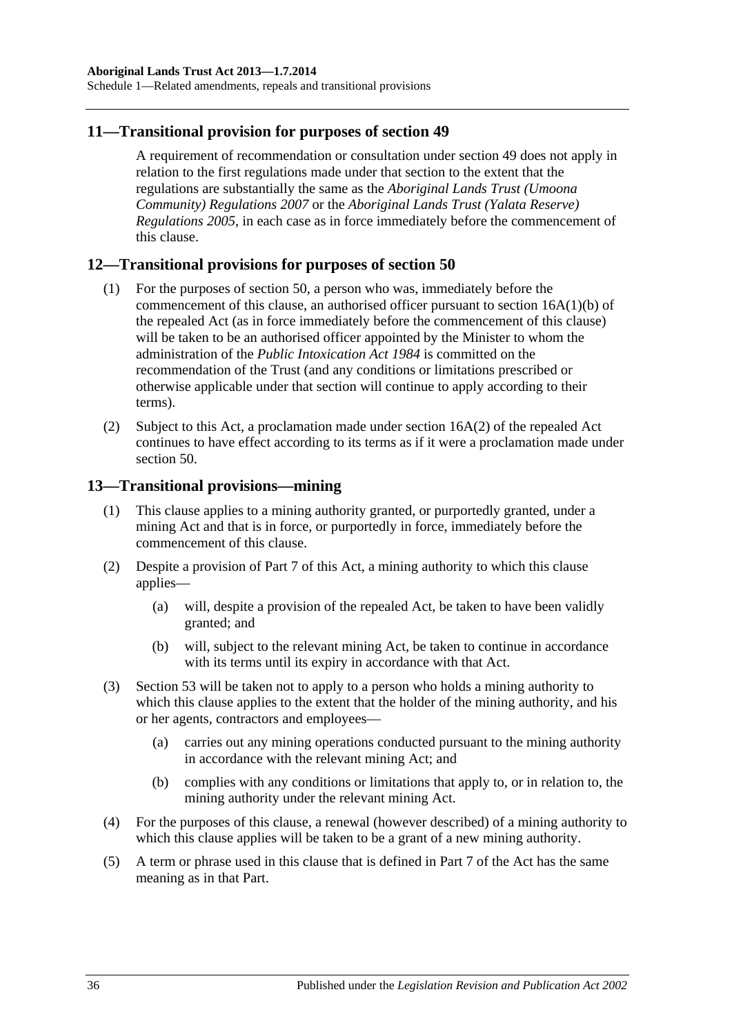Schedule 1—Related amendments, repeals and transitional provisions

### <span id="page-35-0"></span>**11—Transitional provision for purposes of [section](#page-21-5) 49**

A requirement of recommendation or consultation under [section](#page-21-5) 49 does not apply in relation to the first regulations made under that section to the extent that the regulations are substantially the same as the *[Aboriginal Lands Trust \(Umoona](http://www.legislation.sa.gov.au/index.aspx?action=legref&type=subordleg&legtitle=Aboriginal%20Lands%20Trust%20(Umoona%20Community)%20Regulations%202007)  [Community\) Regulations](http://www.legislation.sa.gov.au/index.aspx?action=legref&type=subordleg&legtitle=Aboriginal%20Lands%20Trust%20(Umoona%20Community)%20Regulations%202007) 2007* or the *[Aboriginal Lands Trust \(Yalata Reserve\)](http://www.legislation.sa.gov.au/index.aspx?action=legref&type=subordleg&legtitle=Aboriginal%20Lands%20Trust%20(Yalata%20Reserve)%20Regulations%202005)  [Regulations](http://www.legislation.sa.gov.au/index.aspx?action=legref&type=subordleg&legtitle=Aboriginal%20Lands%20Trust%20(Yalata%20Reserve)%20Regulations%202005) 2005*, in each case as in force immediately before the commencement of this clause.

### <span id="page-35-1"></span>**12—Transitional provisions for purposes of [section](#page-22-0) 50**

- (1) For the purposes of [section](#page-22-0) 50, a person who was, immediately before the commencement of this clause, an authorised officer pursuant to section 16A(1)(b) of the repealed Act (as in force immediately before the commencement of this clause) will be taken to be an authorised officer appointed by the Minister to whom the administration of the *[Public Intoxication Act](http://www.legislation.sa.gov.au/index.aspx?action=legref&type=act&legtitle=Public%20Intoxication%20Act%201984) 1984* is committed on the recommendation of the Trust (and any conditions or limitations prescribed or otherwise applicable under that section will continue to apply according to their terms).
- (2) Subject to this Act, a proclamation made under section 16A(2) of the repealed Act continues to have effect according to its terms as if it were a proclamation made under [section](#page-22-0) 50.

#### <span id="page-35-2"></span>**13—Transitional provisions—mining**

- (1) This clause applies to a mining authority granted, or purportedly granted, under a mining Act and that is in force, or purportedly in force, immediately before the commencement of this clause.
- (2) Despite a provision of [Part](#page-23-0) 7 of this Act, a mining authority to which this clause applies—
	- (a) will, despite a provision of the repealed Act, be taken to have been validly granted; and
	- (b) will, subject to the relevant mining Act, be taken to continue in accordance with its terms until its expiry in accordance with that Act.
- (3) [Section](#page-25-0) 53 will be taken not to apply to a person who holds a mining authority to which this clause applies to the extent that the holder of the mining authority, and his or her agents, contractors and employees—
	- (a) carries out any mining operations conducted pursuant to the mining authority in accordance with the relevant mining Act; and
	- (b) complies with any conditions or limitations that apply to, or in relation to, the mining authority under the relevant mining Act.
- (4) For the purposes of this clause, a renewal (however described) of a mining authority to which this clause applies will be taken to be a grant of a new mining authority.
- (5) A term or phrase used in this clause that is defined in [Part](#page-23-0) 7 of the Act has the same meaning as in that Part.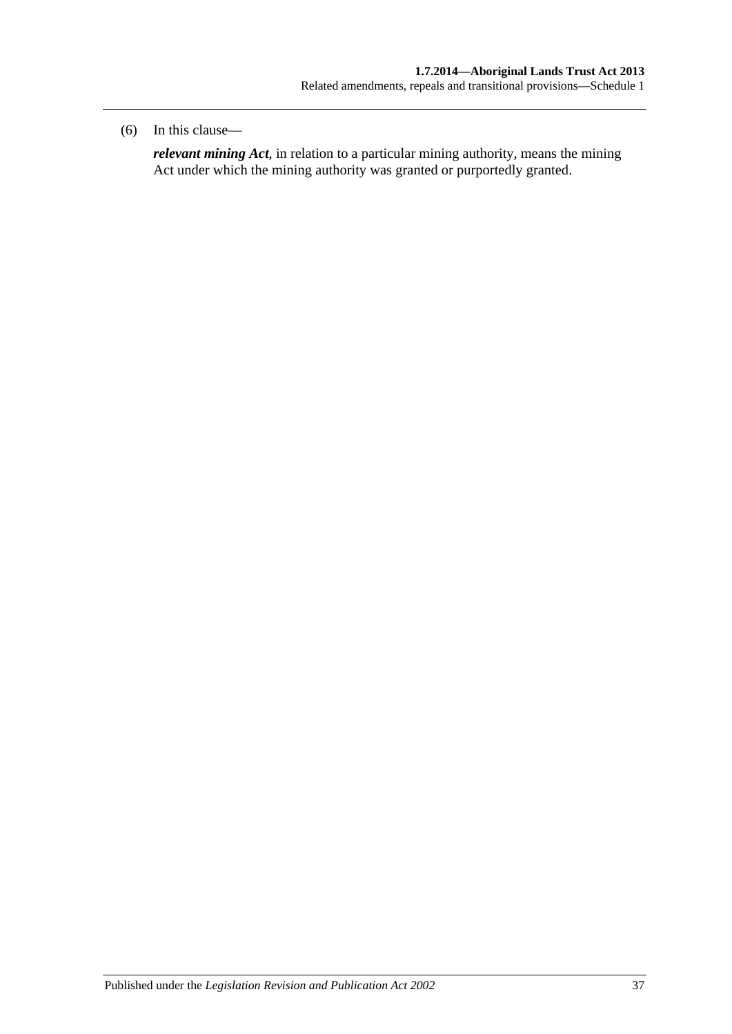#### (6) In this clause—

*relevant mining Act*, in relation to a particular mining authority, means the mining Act under which the mining authority was granted or purportedly granted.